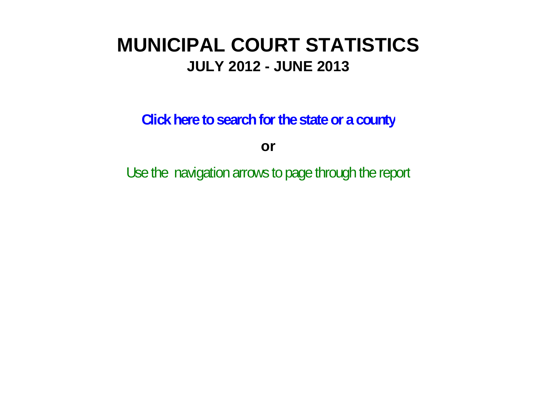# **MUNICIPAL COURT STATISTICSJULY 2012 - JUNE 2013**

**Click here to search for the state or a county**

**or**

Use the navigation arrows to page through the report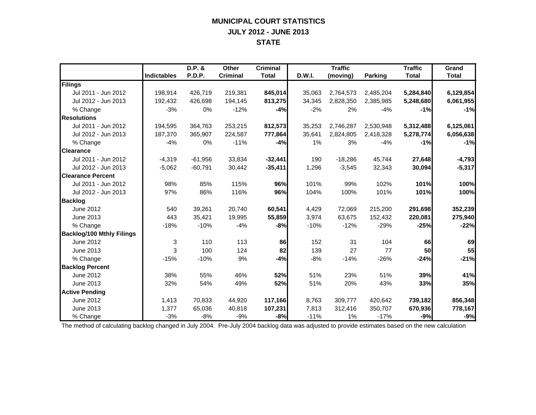## **MUNICIPAL COURT STATISTICS JULY 2012 - JUNE 2013 STATE**

|                                  |                    | D.P. &    | Other           | <b>Criminal</b> |        | <b>Traffic</b> |                | <b>Traffic</b> | Grand        |
|----------------------------------|--------------------|-----------|-----------------|-----------------|--------|----------------|----------------|----------------|--------------|
|                                  | <b>Indictables</b> | P.D.P.    | <b>Criminal</b> | <b>Total</b>    | D.W.I. | (moving)       | <b>Parking</b> | <b>Total</b>   | <b>Total</b> |
| Filings                          |                    |           |                 |                 |        |                |                |                |              |
| Jul 2011 - Jun 2012              | 198,914            | 426,719   | 219,381         | 845,014         | 35,063 | 2,764,573      | 2,485,204      | 5,284,840      | 6,129,854    |
| Jul 2012 - Jun 2013              | 192,432            | 426,698   | 194,145         | 813,275         | 34,345 | 2,828,350      | 2,385,985      | 5,248,680      | 6,061,955    |
| % Change                         | $-3%$              | 0%        | $-12%$          | $-4%$           | $-2%$  | 2%             | $-4%$          | $-1%$          | $-1%$        |
| <b>Resolutions</b>               |                    |           |                 |                 |        |                |                |                |              |
| Jul 2011 - Jun 2012              | 194,595            | 364,763   | 253,215         | 812,573         | 35,253 | 2,746,287      | 2,530,948      | 5,312,488      | 6,125,061    |
| Jul 2012 - Jun 2013              | 187,370            | 365,907   | 224,587         | 777,864         | 35,641 | 2,824,805      | 2,418,328      | 5,278,774      | 6,056,638    |
| % Change                         | $-4%$              | 0%        | $-11%$          | $-4%$           | 1%     | 3%             | $-4%$          | $-1%$          | $-1%$        |
| <b>Clearance</b>                 |                    |           |                 |                 |        |                |                |                |              |
| Jul 2011 - Jun 2012              | $-4,319$           | $-61,956$ | 33,834          | $-32,441$       | 190    | $-18,286$      | 45,744         | 27,648         | $-4,793$     |
| Jul 2012 - Jun 2013              | $-5,062$           | $-60,791$ | 30,442          | $-35,411$       | 1,296  | $-3,545$       | 32,343         | 30,094         | $-5,317$     |
| <b>Clearance Percent</b>         |                    |           |                 |                 |        |                |                |                |              |
| Jul 2011 - Jun 2012              | 98%                | 85%       | 115%            | 96%             | 101%   | 99%            | 102%           | 101%           | 100%         |
| Jul 2012 - Jun 2013              | 97%                | 86%       | 116%            | 96%             | 104%   | 100%           | 101%           | 101%           | 100%         |
| <b>Backlog</b>                   |                    |           |                 |                 |        |                |                |                |              |
| June 2012                        | 540                | 39,261    | 20.740          | 60,541          | 4,429  | 72,069         | 215,200        | 291,698        | 352,239      |
| June 2013                        | 443                | 35,421    | 19,995          | 55,859          | 3,974  | 63,675         | 152,432        | 220,081        | 275,940      |
| % Change                         | $-18%$             | $-10%$    | $-4%$           | $-8%$           | $-10%$ | $-12%$         | $-29%$         | $-25%$         | $-22%$       |
| <b>Backlog/100 Mthly Filings</b> |                    |           |                 |                 |        |                |                |                |              |
| June 2012                        | 3                  | 110       | 113             | 86              | 152    | 31             | 104            | 66             | 69           |
| June 2013                        | 3                  | 100       | 124             | 82              | 139    | 27             | 77             | 50             | 55           |
| % Change                         | $-15%$             | $-10%$    | 9%              | $-4%$           | $-8%$  | $-14%$         | $-26%$         | $-24%$         | $-21%$       |
| <b>Backlog Percent</b>           |                    |           |                 |                 |        |                |                |                |              |
| June 2012                        | 38%                | 55%       | 46%             | 52%             | 51%    | 23%            | 51%            | 39%            | 41%          |
| June 2013                        | 32%                | 54%       | 49%             | 52%             | 51%    | 20%            | 43%            | 33%            | 35%          |
| <b>Active Pending</b>            |                    |           |                 |                 |        |                |                |                |              |
| June 2012                        | 1,413              | 70,833    | 44,920          | 117,166         | 8,763  | 309,777        | 420,642        | 739,182        | 856,348      |
| June 2013                        | 1,377              | 65,036    | 40,818          | 107,231         | 7,813  | 312,416        | 350,707        | 670,936        | 778,167      |
| % Change                         | $-3%$              | $-8%$     | $-9%$           | $-8%$           | $-11%$ | $1\%$          | $-17%$         | $-9%$          | $-9%$        |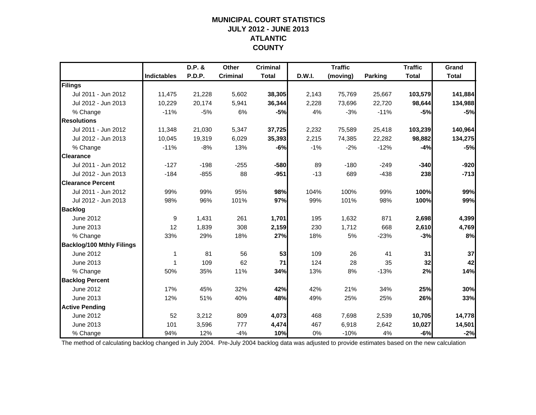### **MUNICIPAL COURT STATISTICSJULY 2012 - JUNE 2013 ATLANTIC COUNTY**

|                                  |                    | D.P. & | Other           | <b>Criminal</b> |        | <b>Traffic</b> |                | <b>Traffic</b> | Grand        |
|----------------------------------|--------------------|--------|-----------------|-----------------|--------|----------------|----------------|----------------|--------------|
|                                  | <b>Indictables</b> | P.D.P. | <b>Criminal</b> | <b>Total</b>    | D.W.I. | (moving)       | <b>Parking</b> | <b>Total</b>   | <b>Total</b> |
| Filings                          |                    |        |                 |                 |        |                |                |                |              |
| Jul 2011 - Jun 2012              | 11,475             | 21,228 | 5,602           | 38,305          | 2,143  | 75,769         | 25,667         | 103,579        | 141,884      |
| Jul 2012 - Jun 2013              | 10,229             | 20,174 | 5,941           | 36,344          | 2,228  | 73,696         | 22,720         | 98,644         | 134,988      |
| % Change                         | $-11%$             | $-5%$  | 6%              | $-5%$           | 4%     | $-3%$          | $-11%$         | $-5%$          | $-5%$        |
| <b>Resolutions</b>               |                    |        |                 |                 |        |                |                |                |              |
| Jul 2011 - Jun 2012              | 11,348             | 21,030 | 5,347           | 37,725          | 2,232  | 75,589         | 25,418         | 103,239        | 140,964      |
| Jul 2012 - Jun 2013              | 10,045             | 19,319 | 6,029           | 35,393          | 2,215  | 74,385         | 22,282         | 98,882         | 134,275      |
| % Change                         | $-11%$             | $-8%$  | 13%             | $-6%$           | $-1%$  | $-2%$          | $-12%$         | $-4%$          | $-5%$        |
| <b>Clearance</b>                 |                    |        |                 |                 |        |                |                |                |              |
| Jul 2011 - Jun 2012              | $-127$             | $-198$ | $-255$          | $-580$          | 89     | $-180$         | $-249$         | $-340$         | $-920$       |
| Jul 2012 - Jun 2013              | $-184$             | $-855$ | 88              | $-951$          | $-13$  | 689            | $-438$         | 238            | $-713$       |
| <b>Clearance Percent</b>         |                    |        |                 |                 |        |                |                |                |              |
| Jul 2011 - Jun 2012              | 99%                | 99%    | 95%             | 98%             | 104%   | 100%           | 99%            | 100%           | 99%          |
| Jul 2012 - Jun 2013              | 98%                | 96%    | 101%            | 97%             | 99%    | 101%           | 98%            | 100%           | 99%          |
| <b>Backlog</b>                   |                    |        |                 |                 |        |                |                |                |              |
| June 2012                        | 9                  | 1,431  | 261             | 1,701           | 195    | 1,632          | 871            | 2,698          | 4,399        |
| June 2013                        | 12                 | 1,839  | 308             | 2,159           | 230    | 1,712          | 668            | 2,610          | 4,769        |
| % Change                         | 33%                | 29%    | 18%             | 27%             | 18%    | 5%             | $-23%$         | $-3%$          | 8%           |
| <b>Backlog/100 Mthly Filings</b> |                    |        |                 |                 |        |                |                |                |              |
| June 2012                        | 1                  | 81     | 56              | 53              | 109    | 26             | 41             | 31             | 37           |
| June 2013                        | 1                  | 109    | 62              | 71              | 124    | 28             | 35             | 32             | 42           |
| % Change                         | 50%                | 35%    | 11%             | 34%             | 13%    | 8%             | $-13%$         | 2%             | 14%          |
| <b>Backlog Percent</b>           |                    |        |                 |                 |        |                |                |                |              |
| June 2012                        | 17%                | 45%    | 32%             | 42%             | 42%    | 21%            | 34%            | 25%            | 30%          |
| June 2013                        | 12%                | 51%    | 40%             | 48%             | 49%    | 25%            | 25%            | 26%            | 33%          |
| <b>Active Pending</b>            |                    |        |                 |                 |        |                |                |                |              |
| June 2012                        | 52                 | 3,212  | 809             | 4,073           | 468    | 7,698          | 2,539          | 10,705         | 14,778       |
| June 2013                        | 101                | 3,596  | 777             | 4,474           | 467    | 6,918          | 2,642          | 10,027         | 14,501       |
| % Change                         | 94%                | 12%    | $-4%$           | 10%             | 0%     | $-10%$         | 4%             | $-6%$          | $-2%$        |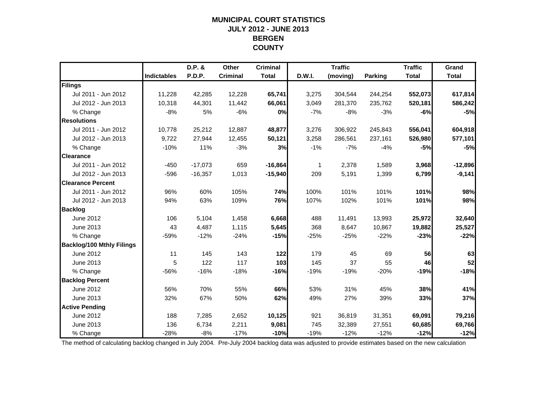### **MUNICIPAL COURT STATISTICSJULY 2012 - JUNE 2013 BERGEN COUNTY**

|                                  |                    | D.P. &    | Other           | <b>Criminal</b> |        | <b>Traffic</b> |         | <b>Traffic</b> | Grand        |
|----------------------------------|--------------------|-----------|-----------------|-----------------|--------|----------------|---------|----------------|--------------|
|                                  | <b>Indictables</b> | P.D.P.    | <b>Criminal</b> | <b>Total</b>    | D.W.I. | (moving)       | Parking | <b>Total</b>   | <b>Total</b> |
| Filings                          |                    |           |                 |                 |        |                |         |                |              |
| Jul 2011 - Jun 2012              | 11,228             | 42,285    | 12,228          | 65,741          | 3,275  | 304,544        | 244,254 | 552,073        | 617,814      |
| Jul 2012 - Jun 2013              | 10,318             | 44,301    | 11,442          | 66,061          | 3,049  | 281,370        | 235,762 | 520,181        | 586,242      |
| % Change                         | $-8%$              | 5%        | $-6%$           | 0%              | $-7%$  | $-8%$          | $-3%$   | $-6%$          | $-5%$        |
| <b>Resolutions</b>               |                    |           |                 |                 |        |                |         |                |              |
| Jul 2011 - Jun 2012              | 10,778             | 25,212    | 12,887          | 48,877          | 3,276  | 306,922        | 245,843 | 556,041        | 604,918      |
| Jul 2012 - Jun 2013              | 9,722              | 27,944    | 12,455          | 50,121          | 3,258  | 286,561        | 237,161 | 526,980        | 577,101      |
| % Change                         | $-10%$             | 11%       | $-3%$           | 3%              | $-1%$  | $-7%$          | $-4%$   | $-5%$          | $-5%$        |
| <b>Clearance</b>                 |                    |           |                 |                 |        |                |         |                |              |
| Jul 2011 - Jun 2012              | $-450$             | $-17,073$ | 659             | $-16,864$       | 1      | 2,378          | 1,589   | 3,968          | $-12,896$    |
| Jul 2012 - Jun 2013              | $-596$             | $-16,357$ | 1,013           | $-15,940$       | 209    | 5,191          | 1,399   | 6,799          | $-9,141$     |
| <b>Clearance Percent</b>         |                    |           |                 |                 |        |                |         |                |              |
| Jul 2011 - Jun 2012              | 96%                | 60%       | 105%            | 74%             | 100%   | 101%           | 101%    | 101%           | 98%          |
| Jul 2012 - Jun 2013              | 94%                | 63%       | 109%            | 76%             | 107%   | 102%           | 101%    | 101%           | 98%          |
| <b>Backlog</b>                   |                    |           |                 |                 |        |                |         |                |              |
| June 2012                        | 106                | 5,104     | 1,458           | 6,668           | 488    | 11,491         | 13,993  | 25,972         | 32,640       |
| June 2013                        | 43                 | 4,487     | 1,115           | 5,645           | 368    | 8,647          | 10,867  | 19,882         | 25,527       |
| % Change                         | $-59%$             | $-12%$    | $-24%$          | $-15%$          | $-25%$ | $-25%$         | $-22%$  | $-23%$         | $-22%$       |
| <b>Backlog/100 Mthly Filings</b> |                    |           |                 |                 |        |                |         |                |              |
| June 2012                        | 11                 | 145       | 143             | $122$           | 179    | 45             | 69      | 56             | 63           |
| June 2013                        | 5                  | 122       | 117             | 103             | 145    | 37             | 55      | 46             | 52           |
| % Change                         | $-56%$             | $-16%$    | $-18%$          | $-16%$          | $-19%$ | $-19%$         | $-20%$  | $-19%$         | $-18%$       |
| <b>Backlog Percent</b>           |                    |           |                 |                 |        |                |         |                |              |
| June 2012                        | 56%                | 70%       | 55%             | 66%             | 53%    | 31%            | 45%     | 38%            | 41%          |
| June 2013                        | 32%                | 67%       | 50%             | 62%             | 49%    | 27%            | 39%     | 33%            | 37%          |
| <b>Active Pending</b>            |                    |           |                 |                 |        |                |         |                |              |
| June 2012                        | 188                | 7,285     | 2,652           | 10,125          | 921    | 36,819         | 31,351  | 69,091         | 79,216       |
| June 2013                        | 136                | 6,734     | 2,211           | 9,081           | 745    | 32,389         | 27,551  | 60,685         | 69,766       |
| % Change                         | $-28%$             | $-8%$     | $-17%$          | $-10%$          | $-19%$ | $-12%$         | $-12%$  | $-12%$         | $-12%$       |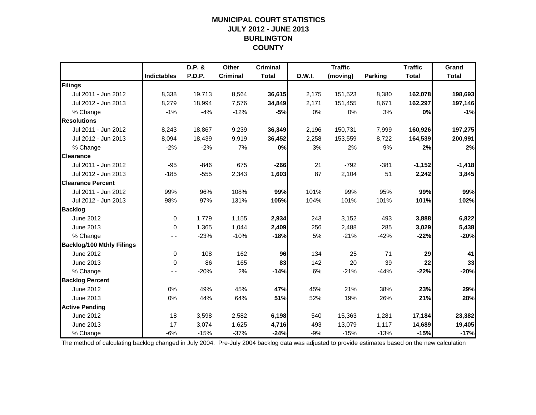### **MUNICIPAL COURT STATISTICSJULY 2012 - JUNE 2013 BURLINGTON COUNTY**

|                                  |                    | D.P. &        | Other           | <b>Criminal</b> |        | <b>Traffic</b> |                | <b>Traffic</b> | Grand        |
|----------------------------------|--------------------|---------------|-----------------|-----------------|--------|----------------|----------------|----------------|--------------|
|                                  | <b>Indictables</b> | <b>P.D.P.</b> | <b>Criminal</b> | <b>Total</b>    | D.W.I. | (moving)       | <b>Parking</b> | <b>Total</b>   | <b>Total</b> |
| Filings                          |                    |               |                 |                 |        |                |                |                |              |
| Jul 2011 - Jun 2012              | 8,338              | 19,713        | 8,564           | 36,615          | 2,175  | 151,523        | 8,380          | 162,078        | 198,693      |
| Jul 2012 - Jun 2013              | 8,279              | 18,994        | 7,576           | 34,849          | 2,171  | 151,455        | 8,671          | 162,297        | 197,146      |
| % Change                         | $-1%$              | $-4%$         | $-12%$          | $-5%$           | 0%     | 0%             | 3%             | 0%             | $-1%$        |
| <b>Resolutions</b>               |                    |               |                 |                 |        |                |                |                |              |
| Jul 2011 - Jun 2012              | 8,243              | 18,867        | 9,239           | 36,349          | 2,196  | 150,731        | 7,999          | 160,926        | 197,275      |
| Jul 2012 - Jun 2013              | 8,094              | 18,439        | 9,919           | 36,452          | 2,258  | 153,559        | 8,722          | 164,539        | 200,991      |
| % Change                         | $-2%$              | $-2%$         | 7%              | 0%              | 3%     | 2%             | 9%             | 2%             | 2%           |
| <b>Clearance</b>                 |                    |               |                 |                 |        |                |                |                |              |
| Jul 2011 - Jun 2012              | $-95$              | $-846$        | 675             | $-266$          | 21     | $-792$         | $-381$         | $-1,152$       | $-1,418$     |
| Jul 2012 - Jun 2013              | $-185$             | $-555$        | 2,343           | 1,603           | 87     | 2,104          | 51             | 2,242          | 3,845        |
| <b>Clearance Percent</b>         |                    |               |                 |                 |        |                |                |                |              |
| Jul 2011 - Jun 2012              | 99%                | 96%           | 108%            | 99%             | 101%   | 99%            | 95%            | 99%            | 99%          |
| Jul 2012 - Jun 2013              | 98%                | 97%           | 131%            | 105%            | 104%   | 101%           | 101%           | 101%           | 102%         |
| <b>Backlog</b>                   |                    |               |                 |                 |        |                |                |                |              |
| <b>June 2012</b>                 | 0                  | 1,779         | 1,155           | 2,934           | 243    | 3,152          | 493            | 3,888          | 6,822        |
| June 2013                        | 0                  | 1,365         | 1,044           | 2,409           | 256    | 2,488          | 285            | 3,029          | 5,438        |
| % Change                         |                    | $-23%$        | $-10%$          | $-18%$          | 5%     | $-21%$         | $-42%$         | $-22%$         | $-20%$       |
| <b>Backlog/100 Mthly Filings</b> |                    |               |                 |                 |        |                |                |                |              |
| June 2012                        | 0                  | 108           | 162             | 96              | 134    | 25             | 71             | 29             | 41           |
| June 2013                        | 0                  | 86            | 165             | 83              | 142    | 20             | 39             | 22             | 33           |
| % Change                         | . .                | $-20%$        | 2%              | $-14%$          | 6%     | $-21%$         | $-44%$         | $-22%$         | $-20%$       |
| <b>Backlog Percent</b>           |                    |               |                 |                 |        |                |                |                |              |
| June 2012                        | 0%                 | 49%           | 45%             | 47%             | 45%    | 21%            | 38%            | 23%            | 29%          |
| June 2013                        | 0%                 | 44%           | 64%             | 51%             | 52%    | 19%            | 26%            | 21%            | 28%          |
| <b>Active Pending</b>            |                    |               |                 |                 |        |                |                |                |              |
| June 2012                        | 18                 | 3,598         | 2,582           | 6,198           | 540    | 15,363         | 1,281          | 17,184         | 23,382       |
| June 2013                        | 17                 | 3,074         | 1,625           | 4,716           | 493    | 13,079         | 1,117          | 14,689         | 19,405       |
| % Change                         | $-6%$              | $-15%$        | $-37%$          | $-24%$          | $-9%$  | $-15%$         | $-13%$         | $-15%$         | $-17%$       |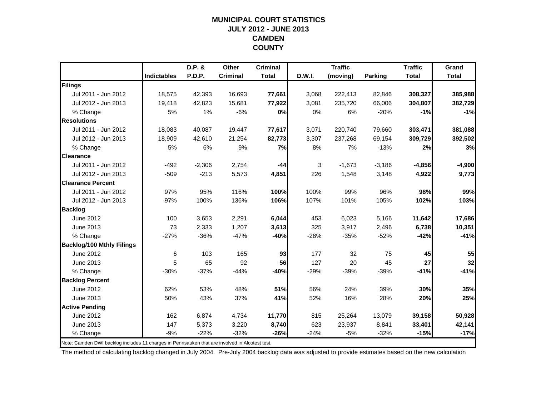#### **MUNICIPAL COURT STATISTICSJULY 2012 - JUNE 2013 CAMDEN COUNTY**

|                                                                                                |                    | D.P. &   | Other           | <b>Criminal</b> |        | <b>Traffic</b> |          | <b>Traffic</b> | Grand        |
|------------------------------------------------------------------------------------------------|--------------------|----------|-----------------|-----------------|--------|----------------|----------|----------------|--------------|
|                                                                                                | <b>Indictables</b> | P.D.P.   | <b>Criminal</b> | <b>Total</b>    | D.W.I. | (moving)       | Parking  | <b>Total</b>   | <b>Total</b> |
| <b>Filings</b>                                                                                 |                    |          |                 |                 |        |                |          |                |              |
| Jul 2011 - Jun 2012                                                                            | 18.575             | 42,393   | 16,693          | 77,661          | 3,068  | 222,413        | 82,846   | 308,327        | 385,988      |
| Jul 2012 - Jun 2013                                                                            | 19,418             | 42,823   | 15,681          | 77,922          | 3,081  | 235,720        | 66,006   | 304,807        | 382,729      |
| % Change                                                                                       | 5%                 | 1%       | $-6%$           | 0%              | 0%     | 6%             | $-20%$   | $-1%$          | $-1%$        |
| <b>Resolutions</b>                                                                             |                    |          |                 |                 |        |                |          |                |              |
| Jul 2011 - Jun 2012                                                                            | 18,083             | 40.087   | 19,447          | 77,617          | 3,071  | 220,740        | 79,660   | 303,471        | 381,088      |
| Jul 2012 - Jun 2013                                                                            | 18,909             | 42,610   | 21,254          | 82,773          | 3,307  | 237,268        | 69,154   | 309,729        | 392,502      |
| % Change                                                                                       | 5%                 | 6%       | 9%              | 7%              | 8%     | 7%             | $-13%$   | 2%             | 3%           |
| <b>Clearance</b>                                                                               |                    |          |                 |                 |        |                |          |                |              |
| Jul 2011 - Jun 2012                                                                            | $-492$             | $-2,306$ | 2,754           | -44             | 3      | $-1,673$       | $-3,186$ | $-4,856$       | $-4,900$     |
| Jul 2012 - Jun 2013                                                                            | $-509$             | $-213$   | 5,573           | 4,851           | 226    | 1,548          | 3,148    | 4,922          | 9,773        |
| <b>Clearance Percent</b>                                                                       |                    |          |                 |                 |        |                |          |                |              |
| Jul 2011 - Jun 2012                                                                            | 97%                | 95%      | 116%            | 100%            | 100%   | 99%            | 96%      | 98%            | 99%          |
| Jul 2012 - Jun 2013                                                                            | 97%                | 100%     | 136%            | 106%            | 107%   | 101%           | 105%     | 102%           | 103%         |
| <b>Backlog</b>                                                                                 |                    |          |                 |                 |        |                |          |                |              |
| June 2012                                                                                      | 100                | 3,653    | 2,291           | 6,044           | 453    | 6,023          | 5,166    | 11,642         | 17,686       |
| June 2013                                                                                      | 73                 | 2,333    | 1,207           | 3,613           | 325    | 3,917          | 2,496    | 6,738          | 10,351       |
| % Change                                                                                       | $-27%$             | $-36%$   | $-47%$          | $-40%$          | $-28%$ | $-35%$         | $-52%$   | $-42%$         | $-41%$       |
| <b>Backlog/100 Mthly Filings</b>                                                               |                    |          |                 |                 |        |                |          |                |              |
| June 2012                                                                                      | 6                  | 103      | 165             | 93              | 177    | 32             | 75       | 45             | 55           |
| June 2013                                                                                      | 5                  | 65       | 92              | 56              | 127    | 20             | 45       | 27             | 32           |
| % Change                                                                                       | $-30%$             | $-37%$   | $-44%$          | -40%            | $-29%$ | $-39%$         | $-39%$   | $-41%$         | $-41%$       |
| <b>Backlog Percent</b>                                                                         |                    |          |                 |                 |        |                |          |                |              |
| June 2012                                                                                      | 62%                | 53%      | 48%             | 51%             | 56%    | 24%            | 39%      | 30%            | 35%          |
| June 2013                                                                                      | 50%                | 43%      | 37%             | 41%             | 52%    | 16%            | 28%      | 20%            | 25%          |
| <b>Active Pending</b>                                                                          |                    |          |                 |                 |        |                |          |                |              |
| <b>June 2012</b>                                                                               | 162                | 6,874    | 4,734           | 11,770          | 815    | 25,264         | 13,079   | 39,158         | 50,928       |
| June 2013                                                                                      | 147                | 5,373    | 3,220           | 8,740           | 623    | 23,937         | 8,841    | 33,401         | 42,141       |
| % Change                                                                                       | -9%                | $-22%$   | $-32%$          | $-26%$          | $-24%$ | $-5%$          | $-32%$   | $-15%$         | $-17%$       |
| Note: Camden DWI backlog includes 11 charges in Pennsauken that are involved in Alcotest test. |                    |          |                 |                 |        |                |          |                |              |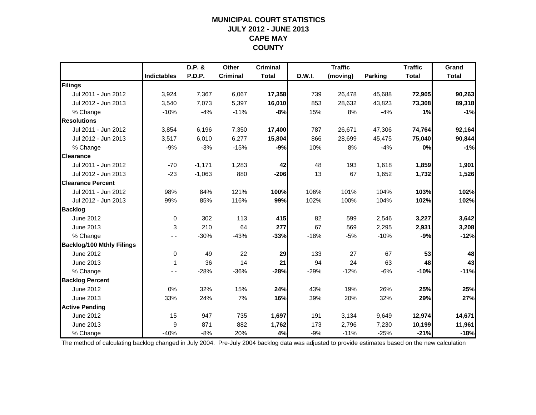### **MUNICIPAL COURT STATISTICSJULY 2012 - JUNE 2013 CAPE MAY COUNTY**

|                                  |             | D.P. &   | Other           | <b>Criminal</b> |        | <b>Traffic</b> |                | <b>Traffic</b> | Grand        |
|----------------------------------|-------------|----------|-----------------|-----------------|--------|----------------|----------------|----------------|--------------|
|                                  | Indictables | P.D.P.   | <b>Criminal</b> | <b>Total</b>    | D.W.I. | (moving)       | <b>Parking</b> | <b>Total</b>   | <b>Total</b> |
| Filings                          |             |          |                 |                 |        |                |                |                |              |
| Jul 2011 - Jun 2012              | 3,924       | 7,367    | 6,067           | 17,358          | 739    | 26,478         | 45,688         | 72,905         | 90,263       |
| Jul 2012 - Jun 2013              | 3,540       | 7,073    | 5,397           | 16,010          | 853    | 28,632         | 43,823         | 73,308         | 89,318       |
| % Change                         | $-10%$      | $-4%$    | $-11%$          | $-8%$           | 15%    | 8%             | $-4%$          | 1%             | $-1%$        |
| <b>Resolutions</b>               |             |          |                 |                 |        |                |                |                |              |
| Jul 2011 - Jun 2012              | 3,854       | 6,196    | 7,350           | 17,400          | 787    | 26,671         | 47,306         | 74,764         | 92,164       |
| Jul 2012 - Jun 2013              | 3,517       | 6,010    | 6,277           | 15,804          | 866    | 28,699         | 45,475         | 75,040         | 90,844       |
| % Change                         | $-9%$       | $-3%$    | $-15%$          | $-9%$           | 10%    | 8%             | $-4%$          | 0%             | $-1%$        |
| <b>Clearance</b>                 |             |          |                 |                 |        |                |                |                |              |
| Jul 2011 - Jun 2012              | $-70$       | $-1,171$ | 1,283           | 42              | 48     | 193            | 1,618          | 1,859          | 1,901        |
| Jul 2012 - Jun 2013              | $-23$       | $-1,063$ | 880             | $-206$          | 13     | 67             | 1,652          | 1,732          | 1,526        |
| <b>Clearance Percent</b>         |             |          |                 |                 |        |                |                |                |              |
| Jul 2011 - Jun 2012              | 98%         | 84%      | 121%            | 100%            | 106%   | 101%           | 104%           | 103%           | 102%         |
| Jul 2012 - Jun 2013              | 99%         | 85%      | 116%            | 99%             | 102%   | 100%           | 104%           | 102%           | 102%         |
| <b>Backlog</b>                   |             |          |                 |                 |        |                |                |                |              |
| <b>June 2012</b>                 | 0           | 302      | 113             | 415             | 82     | 599            | 2,546          | 3,227          | 3,642        |
| June 2013                        | 3           | 210      | 64              | 277             | 67     | 569            | 2,295          | 2,931          | 3,208        |
| % Change                         |             | $-30%$   | $-43%$          | $-33%$          | $-18%$ | $-5%$          | $-10%$         | $-9%$          | $-12%$       |
| <b>Backlog/100 Mthly Filings</b> |             |          |                 |                 |        |                |                |                |              |
| <b>June 2012</b>                 | $\pmb{0}$   | 49       | 22              | 29              | 133    | 27             | 67             | 53             | 48           |
| June 2013                        | 1           | 36       | 14              | 21              | 94     | 24             | 63             | 48             | 43           |
| % Change                         | $ -$        | $-28%$   | $-36%$          | $-28%$          | $-29%$ | $-12%$         | $-6%$          | $-10%$         | $-11%$       |
| <b>Backlog Percent</b>           |             |          |                 |                 |        |                |                |                |              |
| June 2012                        | 0%          | 32%      | 15%             | 24%             | 43%    | 19%            | 26%            | 25%            | 25%          |
| June 2013                        | 33%         | 24%      | 7%              | 16%             | 39%    | 20%            | 32%            | 29%            | 27%          |
| <b>Active Pending</b>            |             |          |                 |                 |        |                |                |                |              |
| June 2012                        | 15          | 947      | 735             | 1,697           | 191    | 3,134          | 9,649          | 12,974         | 14,671       |
| June 2013                        | 9           | 871      | 882             | 1,762           | 173    | 2,796          | 7,230          | 10,199         | 11,961       |
| % Change                         | $-40%$      | $-8%$    | 20%             | 4%              | $-9%$  | $-11%$         | $-25%$         | $-21%$         | $-18%$       |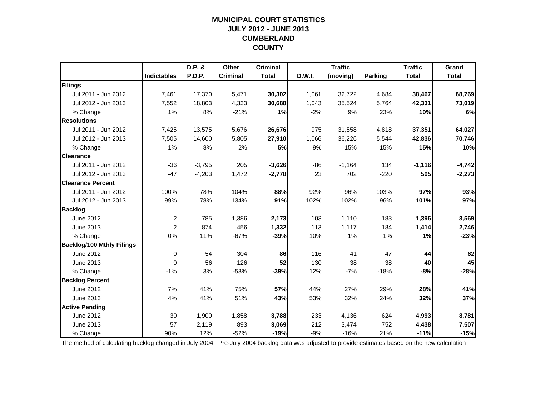### **MUNICIPAL COURT STATISTICSJULY 2012 - JUNE 2013 CUMBERLAND COUNTY**

|                                  |                    | D.P. &        | <b>Other</b>    | <b>Criminal</b> |        | <b>Traffic</b> |                | <b>Traffic</b> | Grand        |
|----------------------------------|--------------------|---------------|-----------------|-----------------|--------|----------------|----------------|----------------|--------------|
|                                  | <b>Indictables</b> | <b>P.D.P.</b> | <b>Criminal</b> | <b>Total</b>    | D.W.I. | (moving)       | <b>Parking</b> | <b>Total</b>   | <b>Total</b> |
| Filings                          |                    |               |                 |                 |        |                |                |                |              |
| Jul 2011 - Jun 2012              | 7,461              | 17,370        | 5,471           | 30,302          | 1,061  | 32,722         | 4,684          | 38,467         | 68,769       |
| Jul 2012 - Jun 2013              | 7,552              | 18,803        | 4,333           | 30,688          | 1,043  | 35,524         | 5,764          | 42,331         | 73,019       |
| % Change                         | 1%                 | 8%            | $-21%$          | 1%              | $-2%$  | 9%             | 23%            | 10%            | 6%           |
| <b>Resolutions</b>               |                    |               |                 |                 |        |                |                |                |              |
| Jul 2011 - Jun 2012              | 7,425              | 13,575        | 5,676           | 26,676          | 975    | 31,558         | 4,818          | 37,351         | 64,027       |
| Jul 2012 - Jun 2013              | 7,505              | 14,600        | 5,805           | 27,910          | 1,066  | 36,226         | 5,544          | 42,836         | 70,746       |
| % Change                         | 1%                 | 8%            | 2%              | 5%              | 9%     | 15%            | 15%            | 15%            | 10%          |
| <b>Clearance</b>                 |                    |               |                 |                 |        |                |                |                |              |
| Jul 2011 - Jun 2012              | $-36$              | $-3,795$      | 205             | $-3,626$        | $-86$  | $-1,164$       | 134            | $-1,116$       | $-4,742$     |
| Jul 2012 - Jun 2013              | $-47$              | $-4,203$      | 1,472           | $-2,778$        | 23     | 702            | $-220$         | 505            | $-2,273$     |
| <b>Clearance Percent</b>         |                    |               |                 |                 |        |                |                |                |              |
| Jul 2011 - Jun 2012              | 100%               | 78%           | 104%            | 88%             | 92%    | 96%            | 103%           | 97%            | 93%          |
| Jul 2012 - Jun 2013              | 99%                | 78%           | 134%            | 91%             | 102%   | 102%           | 96%            | 101%           | 97%          |
| <b>Backlog</b>                   |                    |               |                 |                 |        |                |                |                |              |
| June 2012                        | $\overline{2}$     | 785           | 1,386           | 2,173           | 103    | 1,110          | 183            | 1,396          | 3,569        |
| June 2013                        | $\overline{2}$     | 874           | 456             | 1,332           | 113    | 1,117          | 184            | 1,414          | 2,746        |
| % Change                         | 0%                 | 11%           | $-67%$          | $-39%$          | 10%    | 1%             | $1\%$          | 1%             | $-23%$       |
| <b>Backlog/100 Mthly Filings</b> |                    |               |                 |                 |        |                |                |                |              |
| June 2012                        | 0                  | 54            | 304             | 86              | 116    | 41             | 47             | 44             | 62           |
| June 2013                        | $\Omega$           | 56            | 126             | 52              | 130    | 38             | 38             | 40             | 45           |
| % Change                         | $-1%$              | 3%            | $-58%$          | $-39%$          | 12%    | $-7%$          | $-18%$         | $-8%$          | $-28%$       |
| <b>Backlog Percent</b>           |                    |               |                 |                 |        |                |                |                |              |
| June 2012                        | 7%                 | 41%           | 75%             | 57%             | 44%    | 27%            | 29%            | 28%            | 41%          |
| June 2013                        | 4%                 | 41%           | 51%             | 43%             | 53%    | 32%            | 24%            | 32%            | 37%          |
| <b>Active Pending</b>            |                    |               |                 |                 |        |                |                |                |              |
| June 2012                        | 30                 | 1,900         | 1,858           | 3,788           | 233    | 4,136          | 624            | 4,993          | 8,781        |
| June 2013                        | 57                 | 2,119         | 893             | 3,069           | 212    | 3,474          | 752            | 4,438          | 7,507        |
| % Change                         | 90%                | 12%           | $-52%$          | $-19%$          | $-9%$  | $-16%$         | 21%            | $-11%$         | $-15%$       |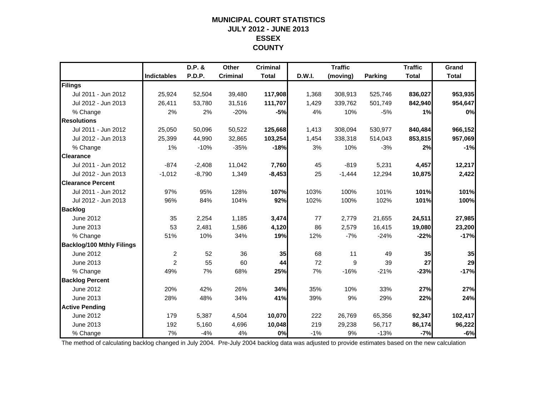### **MUNICIPAL COURT STATISTICSJULY 2012 - JUNE 2013 ESSEX COUNTY**

|                                  |                    | D.P. &        | Other           | <b>Criminal</b> |        | <b>Traffic</b> |                | <b>Traffic</b> | Grand        |
|----------------------------------|--------------------|---------------|-----------------|-----------------|--------|----------------|----------------|----------------|--------------|
|                                  | <b>Indictables</b> | <b>P.D.P.</b> | <b>Criminal</b> | <b>Total</b>    | D.W.I. | (moving)       | <b>Parking</b> | <b>Total</b>   | <b>Total</b> |
| Filings                          |                    |               |                 |                 |        |                |                |                |              |
| Jul 2011 - Jun 2012              | 25,924             | 52,504        | 39,480          | 117,908         | 1,368  | 308,913        | 525,746        | 836,027        | 953,935      |
| Jul 2012 - Jun 2013              | 26,411             | 53,780        | 31,516          | 111,707         | 1,429  | 339,762        | 501,749        | 842,940        | 954,647      |
| % Change                         | 2%                 | 2%            | $-20%$          | $-5%$           | 4%     | 10%            | $-5%$          | 1%             | 0%           |
| <b>Resolutions</b>               |                    |               |                 |                 |        |                |                |                |              |
| Jul 2011 - Jun 2012              | 25,050             | 50,096        | 50,522          | 125,668         | 1,413  | 308,094        | 530,977        | 840,484        | 966,152      |
| Jul 2012 - Jun 2013              | 25,399             | 44,990        | 32,865          | 103,254         | 1,454  | 338,318        | 514,043        | 853,815        | 957,069      |
| % Change                         | 1%                 | $-10%$        | $-35%$          | $-18%$          | 3%     | 10%            | $-3%$          | 2%             | $-1%$        |
| <b>Clearance</b>                 |                    |               |                 |                 |        |                |                |                |              |
| Jul 2011 - Jun 2012              | $-874$             | $-2,408$      | 11,042          | 7,760           | 45     | $-819$         | 5,231          | 4,457          | 12,217       |
| Jul 2012 - Jun 2013              | $-1,012$           | $-8,790$      | 1,349           | $-8,453$        | 25     | $-1,444$       | 12,294         | 10,875         | 2,422        |
| <b>Clearance Percent</b>         |                    |               |                 |                 |        |                |                |                |              |
| Jul 2011 - Jun 2012              | 97%                | 95%           | 128%            | 107%            | 103%   | 100%           | 101%           | 101%           | 101%         |
| Jul 2012 - Jun 2013              | 96%                | 84%           | 104%            | 92%             | 102%   | 100%           | 102%           | 101%           | 100%         |
| <b>Backlog</b>                   |                    |               |                 |                 |        |                |                |                |              |
| June 2012                        | 35                 | 2,254         | 1,185           | 3,474           | 77     | 2,779          | 21,655         | 24,511         | 27,985       |
| June 2013                        | 53                 | 2,481         | 1,586           | 4,120           | 86     | 2,579          | 16,415         | 19,080         | 23,200       |
| % Change                         | 51%                | 10%           | 34%             | 19%             | 12%    | $-7%$          | $-24%$         | $-22%$         | $-17%$       |
| <b>Backlog/100 Mthly Filings</b> |                    |               |                 |                 |        |                |                |                |              |
| June 2012                        | $\overline{c}$     | 52            | 36              | 35              | 68     | 11             | 49             | 35             | 35           |
| June 2013                        | 2                  | 55            | 60              | 44              | 72     | 9              | 39             | 27             | 29           |
| % Change                         | 49%                | 7%            | 68%             | 25%             | 7%     | $-16%$         | $-21%$         | $-23%$         | $-17%$       |
| <b>Backlog Percent</b>           |                    |               |                 |                 |        |                |                |                |              |
| June 2012                        | 20%                | 42%           | 26%             | 34%             | 35%    | 10%            | 33%            | 27%            | 27%          |
| June 2013                        | 28%                | 48%           | 34%             | 41%             | 39%    | 9%             | 29%            | 22%            | 24%          |
| <b>Active Pending</b>            |                    |               |                 |                 |        |                |                |                |              |
| June 2012                        | 179                | 5,387         | 4,504           | 10,070          | 222    | 26,769         | 65,356         | 92,347         | 102,417      |
| June 2013                        | 192                | 5,160         | 4,696           | 10,048          | 219    | 29,238         | 56,717         | 86,174         | 96,222       |
| % Change                         | 7%                 | $-4%$         | 4%              | 0%              | $-1%$  | 9%             | $-13%$         | $-7%$          | $-6%$        |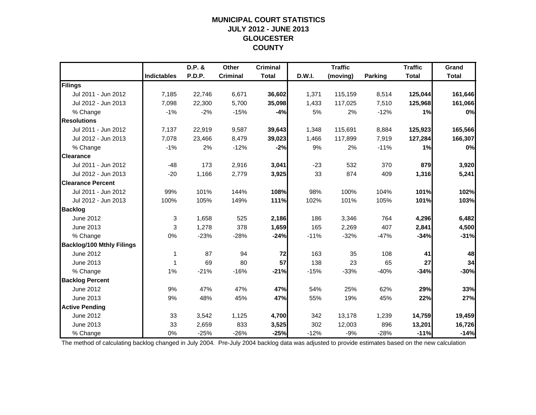### **MUNICIPAL COURT STATISTICSJULY 2012 - JUNE 2013 GLOUCESTER COUNTY**

|                                  |                    | D.P. &        | Other           | <b>Criminal</b> |        | <b>Traffic</b> |         | <b>Traffic</b> | Grand        |
|----------------------------------|--------------------|---------------|-----------------|-----------------|--------|----------------|---------|----------------|--------------|
|                                  | <b>Indictables</b> | <b>P.D.P.</b> | <b>Criminal</b> | <b>Total</b>    | D.W.I. | (moving)       | Parking | <b>Total</b>   | <b>Total</b> |
| Filings                          |                    |               |                 |                 |        |                |         |                |              |
| Jul 2011 - Jun 2012              | 7,185              | 22,746        | 6,671           | 36,602          | 1,371  | 115,159        | 8,514   | 125,044        | 161,646      |
| Jul 2012 - Jun 2013              | 7,098              | 22,300        | 5,700           | 35,098          | 1,433  | 117,025        | 7,510   | 125,968        | 161,066      |
| % Change                         | $-1%$              | $-2%$         | $-15%$          | $-4%$           | 5%     | 2%             | $-12%$  | 1%             | 0%           |
| <b>Resolutions</b>               |                    |               |                 |                 |        |                |         |                |              |
| Jul 2011 - Jun 2012              | 7,137              | 22,919        | 9,587           | 39,643          | 1,348  | 115,691        | 8,884   | 125,923        | 165,566      |
| Jul 2012 - Jun 2013              | 7,078              | 23,466        | 8,479           | 39,023          | 1,466  | 117,899        | 7,919   | 127,284        | 166,307      |
| % Change                         | $-1%$              | 2%            | $-12%$          | $-2%$           | 9%     | 2%             | $-11%$  | 1%             | 0%           |
| <b>Clearance</b>                 |                    |               |                 |                 |        |                |         |                |              |
| Jul 2011 - Jun 2012              | $-48$              | 173           | 2,916           | 3,041           | $-23$  | 532            | 370     | 879            | 3,920        |
| Jul 2012 - Jun 2013              | $-20$              | 1,166         | 2,779           | 3,925           | 33     | 874            | 409     | 1,316          | 5,241        |
| <b>Clearance Percent</b>         |                    |               |                 |                 |        |                |         |                |              |
| Jul 2011 - Jun 2012              | 99%                | 101%          | 144%            | 108%            | 98%    | 100%           | 104%    | 101%           | 102%         |
| Jul 2012 - Jun 2013              | 100%               | 105%          | 149%            | 111%            | 102%   | 101%           | 105%    | 101%           | 103%         |
| <b>Backlog</b>                   |                    |               |                 |                 |        |                |         |                |              |
| June 2012                        | 3                  | 1,658         | 525             | 2,186           | 186    | 3,346          | 764     | 4,296          | 6,482        |
| June 2013                        | 3                  | 1,278         | 378             | 1,659           | 165    | 2,269          | 407     | 2,841          | 4,500        |
| % Change                         | 0%                 | $-23%$        | $-28%$          | $-24%$          | $-11%$ | $-32%$         | $-47%$  | $-34%$         | $-31%$       |
| <b>Backlog/100 Mthly Filings</b> |                    |               |                 |                 |        |                |         |                |              |
| June 2012                        | 1                  | 87            | 94              | 72              | 163    | 35             | 108     | 41             | 48           |
| June 2013                        | 1                  | 69            | 80              | 57              | 138    | 23             | 65      | 27             | 34           |
| % Change                         | 1%                 | $-21%$        | $-16%$          | $-21%$          | $-15%$ | $-33%$         | $-40%$  | $-34%$         | $-30%$       |
| <b>Backlog Percent</b>           |                    |               |                 |                 |        |                |         |                |              |
| June 2012                        | 9%                 | 47%           | 47%             | 47%             | 54%    | 25%            | 62%     | 29%            | 33%          |
| June 2013                        | 9%                 | 48%           | 45%             | 47%             | 55%    | 19%            | 45%     | 22%            | 27%          |
| <b>Active Pending</b>            |                    |               |                 |                 |        |                |         |                |              |
| June 2012                        | 33                 | 3,542         | 1,125           | 4,700           | 342    | 13,178         | 1,239   | 14,759         | 19,459       |
| June 2013                        | 33                 | 2,659         | 833             | 3,525           | 302    | 12,003         | 896     | 13,201         | 16,726       |
| % Change                         | 0%                 | $-25%$        | $-26%$          | $-25%$          | $-12%$ | $-9%$          | $-28%$  | $-11%$         | $-14%$       |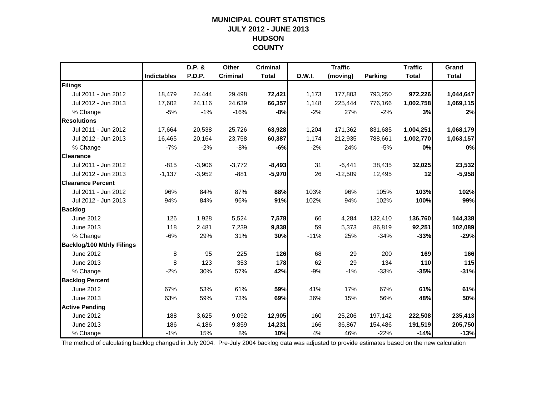#### **MUNICIPAL COURT STATISTICS JULY 2012 - JUNE 2013 HUDSON COUNTY**

|                                  |                    | D.P. &   | Other           | <b>Criminal</b> |        | <b>Traffic</b> |         | <b>Traffic</b> | Grand        |
|----------------------------------|--------------------|----------|-----------------|-----------------|--------|----------------|---------|----------------|--------------|
|                                  | <b>Indictables</b> | P.D.P.   | <b>Criminal</b> | <b>Total</b>    | D.W.I. | (moving)       | Parking | <b>Total</b>   | <b>Total</b> |
| Filings                          |                    |          |                 |                 |        |                |         |                |              |
| Jul 2011 - Jun 2012              | 18,479             | 24,444   | 29,498          | 72,421          | 1,173  | 177,803        | 793,250 | 972,226        | 1,044,647    |
| Jul 2012 - Jun 2013              | 17,602             | 24,116   | 24,639          | 66,357          | 1,148  | 225,444        | 776,166 | 1,002,758      | 1,069,115    |
| % Change                         | $-5%$              | $-1%$    | $-16%$          | $-8%$           | $-2%$  | 27%            | $-2%$   | 3%             | 2%           |
| <b>Resolutions</b>               |                    |          |                 |                 |        |                |         |                |              |
| Jul 2011 - Jun 2012              | 17,664             | 20,538   | 25,726          | 63,928          | 1,204  | 171,362        | 831,685 | 1,004,251      | 1,068,179    |
| Jul 2012 - Jun 2013              | 16,465             | 20,164   | 23,758          | 60,387          | 1,174  | 212,935        | 788,661 | 1,002,770      | 1,063,157    |
| % Change                         | $-7%$              | $-2%$    | $-8%$           | -6%             | $-2%$  | 24%            | $-5%$   | 0%             | 0%           |
| <b>Clearance</b>                 |                    |          |                 |                 |        |                |         |                |              |
| Jul 2011 - Jun 2012              | $-815$             | $-3,906$ | $-3,772$        | $-8,493$        | 31     | $-6,441$       | 38,435  | 32,025         | 23,532       |
| Jul 2012 - Jun 2013              | $-1,137$           | $-3,952$ | $-881$          | $-5,970$        | 26     | $-12,509$      | 12,495  | 12             | $-5,958$     |
| <b>Clearance Percent</b>         |                    |          |                 |                 |        |                |         |                |              |
| Jul 2011 - Jun 2012              | 96%                | 84%      | 87%             | 88%             | 103%   | 96%            | 105%    | 103%           | 102%         |
| Jul 2012 - Jun 2013              | 94%                | 84%      | 96%             | 91%             | 102%   | 94%            | 102%    | 100%           | 99%          |
| <b>Backlog</b>                   |                    |          |                 |                 |        |                |         |                |              |
| <b>June 2012</b>                 | 126                | 1,928    | 5,524           | 7,578           | 66     | 4,284          | 132,410 | 136,760        | 144,338      |
| June 2013                        | 118                | 2,481    | 7,239           | 9,838           | 59     | 5,373          | 86,819  | 92,251         | 102,089      |
| % Change                         | $-6%$              | 29%      | 31%             | 30%             | $-11%$ | 25%            | $-34%$  | $-33%$         | $-29%$       |
| <b>Backlog/100 Mthly Filings</b> |                    |          |                 |                 |        |                |         |                |              |
| June 2012                        | 8                  | 95       | 225             | 126             | 68     | 29             | 200     | 169            | 166          |
| June 2013                        | 8                  | 123      | 353             | 178             | 62     | 29             | 134     | 110            | 115          |
| % Change                         | $-2%$              | 30%      | 57%             | 42%             | $-9%$  | $-1%$          | $-33%$  | $-35%$         | $-31%$       |
| <b>Backlog Percent</b>           |                    |          |                 |                 |        |                |         |                |              |
| June 2012                        | 67%                | 53%      | 61%             | 59%             | 41%    | 17%            | 67%     | 61%            | 61%          |
| June 2013                        | 63%                | 59%      | 73%             | 69%             | 36%    | 15%            | 56%     | 48%            | 50%          |
| <b>Active Pending</b>            |                    |          |                 |                 |        |                |         |                |              |
| June 2012                        | 188                | 3,625    | 9,092           | 12,905          | 160    | 25,206         | 197,142 | 222,508        | 235,413      |
| June 2013                        | 186                | 4,186    | 9,859           | 14,231          | 166    | 36,867         | 154,486 | 191,519        | 205,750      |
| % Change                         | $-1%$              | 15%      | 8%              | 10%             | 4%     | 46%            | $-22%$  | $-14%$         | $-13%$       |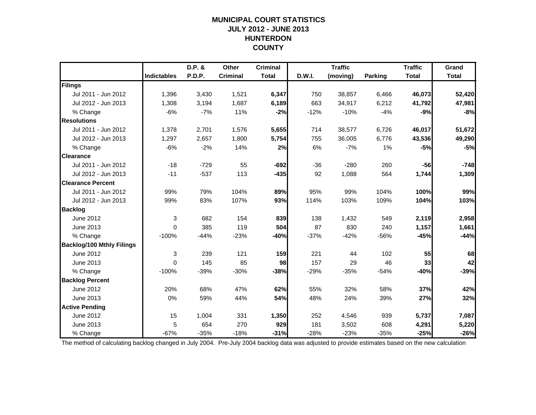### **MUNICIPAL COURT STATISTICSJULY 2012 - JUNE 2013 HUNTERDON COUNTY**

|                                  |                    | D.P. & | Other           | <b>Criminal</b> |        | <b>Traffic</b> |         | <b>Traffic</b> | Grand        |
|----------------------------------|--------------------|--------|-----------------|-----------------|--------|----------------|---------|----------------|--------------|
|                                  | <b>Indictables</b> | P.D.P. | <b>Criminal</b> | <b>Total</b>    | D.W.I. | (moving)       | Parking | <b>Total</b>   | <b>Total</b> |
| Filings                          |                    |        |                 |                 |        |                |         |                |              |
| Jul 2011 - Jun 2012              | 1,396              | 3,430  | 1,521           | 6,347           | 750    | 38,857         | 6,466   | 46,073         | 52,420       |
| Jul 2012 - Jun 2013              | 1,308              | 3,194  | 1,687           | 6,189           | 663    | 34,917         | 6,212   | 41,792         | 47,981       |
| % Change                         | $-6%$              | $-7%$  | 11%             | $-2%$           | $-12%$ | $-10%$         | $-4%$   | $-9%$          | $-8%$        |
| <b>Resolutions</b>               |                    |        |                 |                 |        |                |         |                |              |
| Jul 2011 - Jun 2012              | 1,378              | 2,701  | 1,576           | 5,655           | 714    | 38,577         | 6,726   | 46,017         | 51,672       |
| Jul 2012 - Jun 2013              | 1,297              | 2,657  | 1,800           | 5,754           | 755    | 36,005         | 6,776   | 43,536         | 49,290       |
| % Change                         | $-6%$              | $-2%$  | 14%             | 2%              | 6%     | $-7%$          | 1%      | $-5%$          | $-5%$        |
| <b>Clearance</b>                 |                    |        |                 |                 |        |                |         |                |              |
| Jul 2011 - Jun 2012              | $-18$              | $-729$ | 55              | $-692$          | $-36$  | $-280$         | 260     | $-56$          | $-748$       |
| Jul 2012 - Jun 2013              | $-11$              | $-537$ | 113             | $-435$          | 92     | 1,088          | 564     | 1,744          | 1,309        |
| <b>Clearance Percent</b>         |                    |        |                 |                 |        |                |         |                |              |
| Jul 2011 - Jun 2012              | 99%                | 79%    | 104%            | 89%             | 95%    | 99%            | 104%    | 100%           | 99%          |
| Jul 2012 - Jun 2013              | 99%                | 83%    | 107%            | 93%             | 114%   | 103%           | 109%    | 104%           | 103%         |
| <b>Backlog</b>                   |                    |        |                 |                 |        |                |         |                |              |
| <b>June 2012</b>                 | 3                  | 682    | 154             | 839             | 138    | 1,432          | 549     | 2,119          | 2,958        |
| June 2013                        | 0                  | 385    | 119             | 504             | 87     | 830            | 240     | 1,157          | 1,661        |
| % Change                         | $-100%$            | $-44%$ | $-23%$          | $-40%$          | $-37%$ | $-42%$         | $-56%$  | $-45%$         | $-44%$       |
| <b>Backlog/100 Mthly Filings</b> |                    |        |                 |                 |        |                |         |                |              |
| June 2012                        | 3                  | 239    | 121             | 159             | 221    | 44             | 102     | 55             | 68           |
| June 2013                        | $\Omega$           | 145    | 85              | 98              | 157    | 29             | 46      | 33             | 42           |
| % Change                         | $-100%$            | $-39%$ | $-30%$          | $-38%$          | $-29%$ | $-35%$         | $-54%$  | $-40%$         | $-39%$       |
| <b>Backlog Percent</b>           |                    |        |                 |                 |        |                |         |                |              |
| June 2012                        | 20%                | 68%    | 47%             | 62%             | 55%    | 32%            | 58%     | 37%            | 42%          |
| June 2013                        | 0%                 | 59%    | 44%             | 54%             | 48%    | 24%            | 39%     | 27%            | 32%          |
| <b>Active Pending</b>            |                    |        |                 |                 |        |                |         |                |              |
| June 2012                        | 15                 | 1,004  | 331             | 1,350           | 252    | 4,546          | 939     | 5,737          | 7,087        |
| June 2013                        | 5                  | 654    | 270             | 929             | 181    | 3,502          | 608     | 4,291          | 5,220        |
| % Change                         | $-67%$             | $-35%$ | $-18%$          | $-31%$          | $-28%$ | $-23%$         | $-35%$  | $-25%$         | $-26%$       |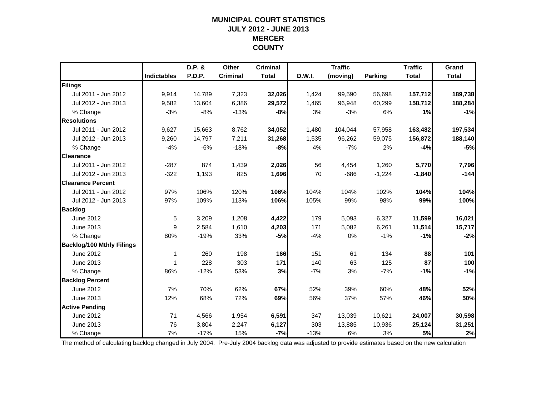### **MUNICIPAL COURT STATISTICSJULY 2012 - JUNE 2013 MERCER COUNTY**

|                                  |                    | D.P. & | Other           | <b>Criminal</b> |        | <b>Traffic</b> |                | <b>Traffic</b> | Grand        |
|----------------------------------|--------------------|--------|-----------------|-----------------|--------|----------------|----------------|----------------|--------------|
|                                  | <b>Indictables</b> | P.D.P. | <b>Criminal</b> | <b>Total</b>    | D.W.I. | (moving)       | <b>Parking</b> | <b>Total</b>   | <b>Total</b> |
| Filings                          |                    |        |                 |                 |        |                |                |                |              |
| Jul 2011 - Jun 2012              | 9,914              | 14,789 | 7,323           | 32,026          | 1,424  | 99,590         | 56,698         | 157,712        | 189,738      |
| Jul 2012 - Jun 2013              | 9,582              | 13,604 | 6,386           | 29,572          | 1,465  | 96,948         | 60,299         | 158,712        | 188,284      |
| % Change                         | $-3%$              | $-8%$  | $-13%$          | $-8%$           | 3%     | $-3%$          | 6%             | 1%             | $-1%$        |
| <b>Resolutions</b>               |                    |        |                 |                 |        |                |                |                |              |
| Jul 2011 - Jun 2012              | 9,627              | 15,663 | 8,762           | 34,052          | 1,480  | 104,044        | 57,958         | 163,482        | 197,534      |
| Jul 2012 - Jun 2013              | 9,260              | 14,797 | 7,211           | 31,268          | 1,535  | 96,262         | 59,075         | 156,872        | 188,140      |
| % Change                         | $-4%$              | $-6%$  | $-18%$          | $-8%$           | 4%     | $-7%$          | 2%             | $-4%$          | $-5%$        |
| <b>Clearance</b>                 |                    |        |                 |                 |        |                |                |                |              |
| Jul 2011 - Jun 2012              | $-287$             | 874    | 1,439           | 2,026           | 56     | 4,454          | 1,260          | 5,770          | 7,796        |
| Jul 2012 - Jun 2013              | $-322$             | 1,193  | 825             | 1,696           | 70     | $-686$         | $-1,224$       | $-1,840$       | $-144$       |
| <b>Clearance Percent</b>         |                    |        |                 |                 |        |                |                |                |              |
| Jul 2011 - Jun 2012              | 97%                | 106%   | 120%            | 106%            | 104%   | 104%           | 102%           | 104%           | 104%         |
| Jul 2012 - Jun 2013              | 97%                | 109%   | 113%            | 106%            | 105%   | 99%            | 98%            | 99%            | 100%         |
| <b>Backlog</b>                   |                    |        |                 |                 |        |                |                |                |              |
| June 2012                        | 5                  | 3,209  | 1,208           | 4,422           | 179    | 5,093          | 6,327          | 11,599         | 16,021       |
| June 2013                        | 9                  | 2,584  | 1,610           | 4,203           | 171    | 5,082          | 6,261          | 11,514         | 15,717       |
| % Change                         | 80%                | $-19%$ | 33%             | $-5%$           | $-4%$  | 0%             | $-1%$          | $-1%$          | $-2%$        |
| <b>Backlog/100 Mthly Filings</b> |                    |        |                 |                 |        |                |                |                |              |
| June 2012                        | 1                  | 260    | 198             | 166             | 151    | 61             | 134            | 88             | 101          |
| June 2013                        | 1                  | 228    | 303             | 171             | 140    | 63             | 125            | 87             | 100          |
| % Change                         | 86%                | $-12%$ | 53%             | 3%              | $-7%$  | 3%             | $-7%$          | $-1%$          | $-1%$        |
| <b>Backlog Percent</b>           |                    |        |                 |                 |        |                |                |                |              |
| June 2012                        | 7%                 | 70%    | 62%             | 67%             | 52%    | 39%            | 60%            | 48%            | 52%          |
| June 2013                        | 12%                | 68%    | 72%             | 69%             | 56%    | 37%            | 57%            | 46%            | 50%          |
| <b>Active Pending</b>            |                    |        |                 |                 |        |                |                |                |              |
| June 2012                        | 71                 | 4,566  | 1,954           | 6,591           | 347    | 13,039         | 10,621         | 24,007         | 30,598       |
| June 2013                        | 76                 | 3,804  | 2,247           | 6,127           | 303    | 13,885         | 10,936         | 25,124         | 31,251       |
| % Change                         | 7%                 | $-17%$ | 15%             | $-7%$           | $-13%$ | 6%             | 3%             | 5%             | 2%           |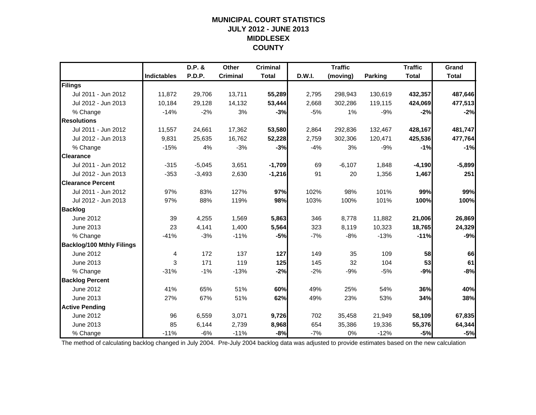### **MUNICIPAL COURT STATISTICSJULY 2012 - JUNE 2013 MIDDLESEX COUNTY**

|                                  |                    | D.P. &        | Other           | <b>Criminal</b> |        | <b>Traffic</b> |                | <b>Traffic</b> | Grand        |
|----------------------------------|--------------------|---------------|-----------------|-----------------|--------|----------------|----------------|----------------|--------------|
|                                  | <b>Indictables</b> | <b>P.D.P.</b> | <b>Criminal</b> | <b>Total</b>    | D.W.I. | (moving)       | <b>Parking</b> | <b>Total</b>   | <b>Total</b> |
| Filings                          |                    |               |                 |                 |        |                |                |                |              |
| Jul 2011 - Jun 2012              | 11,872             | 29,706        | 13,711          | 55,289          | 2,795  | 298,943        | 130,619        | 432,357        | 487,646      |
| Jul 2012 - Jun 2013              | 10,184             | 29,128        | 14,132          | 53,444          | 2,668  | 302,286        | 119,115        | 424,069        | 477,513      |
| % Change                         | $-14%$             | $-2%$         | 3%              | $-3%$           | $-5%$  | 1%             | $-9%$          | $-2%$          | $-2%$        |
| <b>Resolutions</b>               |                    |               |                 |                 |        |                |                |                |              |
| Jul 2011 - Jun 2012              | 11,557             | 24,661        | 17,362          | 53,580          | 2,864  | 292,836        | 132,467        | 428,167        | 481,747      |
| Jul 2012 - Jun 2013              | 9,831              | 25,635        | 16,762          | 52,228          | 2,759  | 302,306        | 120,471        | 425,536        | 477,764      |
| % Change                         | $-15%$             | 4%            | $-3%$           | $-3%$           | $-4%$  | 3%             | $-9%$          | $-1%$          | $-1%$        |
| <b>Clearance</b>                 |                    |               |                 |                 |        |                |                |                |              |
| Jul 2011 - Jun 2012              | $-315$             | $-5,045$      | 3,651           | $-1,709$        | 69     | $-6,107$       | 1,848          | $-4,190$       | $-5,899$     |
| Jul 2012 - Jun 2013              | $-353$             | $-3,493$      | 2,630           | $-1,216$        | 91     | 20             | 1,356          | 1,467          | 251          |
| <b>Clearance Percent</b>         |                    |               |                 |                 |        |                |                |                |              |
| Jul 2011 - Jun 2012              | 97%                | 83%           | 127%            | 97%             | 102%   | 98%            | 101%           | 99%            | 99%          |
| Jul 2012 - Jun 2013              | 97%                | 88%           | 119%            | 98%             | 103%   | 100%           | 101%           | 100%           | 100%         |
| <b>Backlog</b>                   |                    |               |                 |                 |        |                |                |                |              |
| June 2012                        | 39                 | 4,255         | 1,569           | 5,863           | 346    | 8,778          | 11,882         | 21,006         | 26,869       |
| June 2013                        | 23                 | 4,141         | 1,400           | 5,564           | 323    | 8,119          | 10,323         | 18,765         | 24,329       |
| % Change                         | $-41%$             | $-3%$         | $-11%$          | $-5%$           | $-7%$  | $-8%$          | $-13%$         | $-11%$         | $-9%$        |
| <b>Backlog/100 Mthly Filings</b> |                    |               |                 |                 |        |                |                |                |              |
| June 2012                        | 4                  | 172           | 137             | 127             | 149    | 35             | 109            | 58             | 66           |
| June 2013                        | 3                  | 171           | 119             | 125             | 145    | 32             | 104            | 53             | 61           |
| % Change                         | $-31%$             | $-1%$         | $-13%$          | $-2%$           | $-2%$  | $-9%$          | $-5%$          | $-9%$          | $-8%$        |
| <b>Backlog Percent</b>           |                    |               |                 |                 |        |                |                |                |              |
| June 2012                        | 41%                | 65%           | 51%             | 60%             | 49%    | 25%            | 54%            | 36%            | 40%          |
| June 2013                        | 27%                | 67%           | 51%             | 62%             | 49%    | 23%            | 53%            | 34%            | 38%          |
| <b>Active Pending</b>            |                    |               |                 |                 |        |                |                |                |              |
| June 2012                        | 96                 | 6,559         | 3,071           | 9,726           | 702    | 35,458         | 21,949         | 58,109         | 67,835       |
| June 2013                        | 85                 | 6,144         | 2,739           | 8,968           | 654    | 35,386         | 19,336         | 55,376         | 64,344       |
| % Change                         | $-11%$             | $-6%$         | $-11%$          | $-8%$           | $-7%$  | 0%             | $-12%$         | $-5%$          | $-5%$        |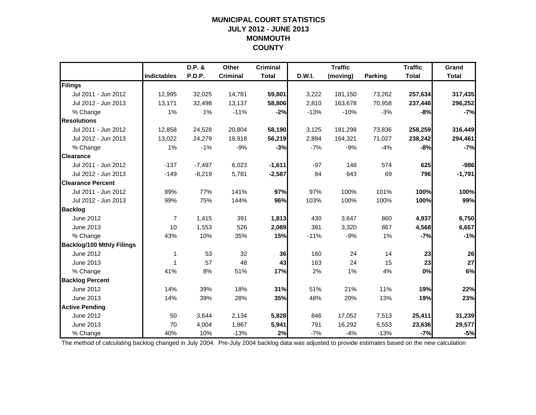### **MUNICIPAL COURT STATISTICSJULY 2012 - JUNE 2013 MONMOUTH COUNTY**

|                                  |                    | D.P. &        | Other           | <b>Criminal</b> |        | <b>Traffic</b> |         | <b>Traffic</b> | Grand        |
|----------------------------------|--------------------|---------------|-----------------|-----------------|--------|----------------|---------|----------------|--------------|
|                                  | <b>Indictables</b> | <b>P.D.P.</b> | <b>Criminal</b> | <b>Total</b>    | D.W.I. | (moving)       | Parking | <b>Total</b>   | <b>Total</b> |
| Filings                          |                    |               |                 |                 |        |                |         |                |              |
| Jul 2011 - Jun 2012              | 12,995             | 32,025        | 14,781          | 59,801          | 3,222  | 181,150        | 73,262  | 257,634        | 317,435      |
| Jul 2012 - Jun 2013              | 13,171             | 32,498        | 13,137          | 58,806          | 2,810  | 163,678        | 70,958  | 237,446        | 296,252      |
| % Change                         | 1%                 | 1%            | $-11%$          | $-2%$           | $-13%$ | $-10%$         | $-3%$   | $-8%$          | $-7%$        |
| <b>Resolutions</b>               |                    |               |                 |                 |        |                |         |                |              |
| Jul 2011 - Jun 2012              | 12,858             | 24,528        | 20,804          | 58,190          | 3,125  | 181,298        | 73,836  | 258,259        | 316,449      |
| Jul 2012 - Jun 2013              | 13,022             | 24,279        | 18,918          | 56,219          | 2,894  | 164,321        | 71,027  | 238,242        | 294,461      |
| % Change                         | 1%                 | $-1%$         | $-9%$           | $-3%$           | $-7%$  | $-9%$          | $-4%$   | $-8%$          | $-7%$        |
| <b>Clearance</b>                 |                    |               |                 |                 |        |                |         |                |              |
| Jul 2011 - Jun 2012              | $-137$             | $-7,497$      | 6,023           | $-1,611$        | $-97$  | 148            | 574     | 625            | $-986$       |
| Jul 2012 - Jun 2013              | $-149$             | $-8,219$      | 5,781           | $-2,587$        | 84     | 643            | 69      | 796            | $-1,791$     |
| <b>Clearance Percent</b>         |                    |               |                 |                 |        |                |         |                |              |
| Jul 2011 - Jun 2012              | 99%                | 77%           | 141%            | 97%             | 97%    | 100%           | 101%    | 100%           | 100%         |
| Jul 2012 - Jun 2013              | 99%                | 75%           | 144%            | 96%             | 103%   | 100%           | 100%    | 100%           | 99%          |
| <b>Backlog</b>                   |                    |               |                 |                 |        |                |         |                |              |
| June 2012                        | $\overline{7}$     | 1,415         | 391             | 1,813           | 430    | 3,647          | 860     | 4,937          | 6,750        |
| June 2013                        | 10                 | 1,553         | 526             | 2,089           | 381    | 3,320          | 867     | 4,568          | 6,657        |
| % Change                         | 43%                | 10%           | 35%             | 15%             | $-11%$ | $-9%$          | 1%      | $-7%$          | $-1%$        |
| <b>Backlog/100 Mthly Filings</b> |                    |               |                 |                 |        |                |         |                |              |
| June 2012                        | 1                  | 53            | 32              | 36              | 160    | 24             | 14      | 23             | 26           |
| June 2013                        | 1                  | 57            | 48              | 43              | 163    | 24             | 15      | 23             | 27           |
| % Change                         | 41%                | 8%            | 51%             | 17%             | 2%     | 1%             | 4%      | $0\%$          | 6%           |
| <b>Backlog Percent</b>           |                    |               |                 |                 |        |                |         |                |              |
| June 2012                        | 14%                | 39%           | 18%             | 31%             | 51%    | 21%            | 11%     | 19%            | 22%          |
| June 2013                        | 14%                | 39%           | 28%             | 35%             | 48%    | 20%            | 13%     | 19%            | 23%          |
| <b>Active Pending</b>            |                    |               |                 |                 |        |                |         |                |              |
| June 2012                        | 50                 | 3.644         | 2,134           | 5,828           | 846    | 17,052         | 7,513   | 25,411         | 31,239       |
| June 2013                        | 70                 | 4,004         | 1,867           | 5,941           | 791    | 16,292         | 6,553   | 23,636         | 29,577       |
| % Change                         | 40%                | 10%           | $-13%$          | 2%              | $-7%$  | $-4%$          | $-13%$  | $-7%$          | $-5%$        |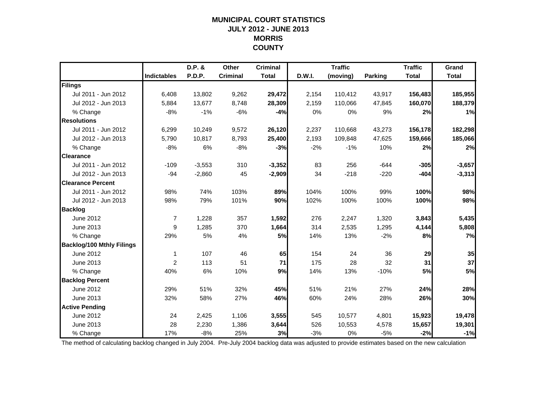### **MUNICIPAL COURT STATISTICSJULY 2012 - JUNE 2013 MORRIS COUNTY**

|                                  |                | D.P. &   | Other           | <b>Criminal</b> |               | <b>Traffic</b> |                | <b>Traffic</b> | Grand        |
|----------------------------------|----------------|----------|-----------------|-----------------|---------------|----------------|----------------|----------------|--------------|
|                                  | Indictables    | P.D.P.   | <b>Criminal</b> | <b>Total</b>    | <b>D.W.I.</b> | (moving)       | <b>Parking</b> | <b>Total</b>   | <b>Total</b> |
| Filings                          |                |          |                 |                 |               |                |                |                |              |
| Jul 2011 - Jun 2012              | 6,408          | 13,802   | 9,262           | 29,472          | 2,154         | 110,412        | 43,917         | 156,483        | 185,955      |
| Jul 2012 - Jun 2013              | 5,884          | 13,677   | 8,748           | 28,309          | 2,159         | 110,066        | 47,845         | 160,070        | 188,379      |
| % Change                         | $-8%$          | $-1%$    | $-6%$           | $-4%$           | 0%            | 0%             | 9%             | 2%             | 1%           |
| <b>Resolutions</b>               |                |          |                 |                 |               |                |                |                |              |
| Jul 2011 - Jun 2012              | 6,299          | 10,249   | 9,572           | 26,120          | 2,237         | 110,668        | 43,273         | 156,178        | 182,298      |
| Jul 2012 - Jun 2013              | 5.790          | 10,817   | 8,793           | 25,400          | 2,193         | 109,848        | 47,625         | 159,666        | 185,066      |
| % Change                         | $-8%$          | 6%       | $-8%$           | $-3%$           | $-2%$         | $-1%$          | 10%            | 2%             | 2%           |
| <b>Clearance</b>                 |                |          |                 |                 |               |                |                |                |              |
| Jul 2011 - Jun 2012              | $-109$         | $-3,553$ | 310             | $-3,352$        | 83            | 256            | $-644$         | $-305$         | $-3,657$     |
| Jul 2012 - Jun 2013              | -94            | $-2,860$ | 45              | $-2,909$        | 34            | $-218$         | $-220$         | $-404$         | $-3,313$     |
| <b>Clearance Percent</b>         |                |          |                 |                 |               |                |                |                |              |
| Jul 2011 - Jun 2012              | 98%            | 74%      | 103%            | 89%             | 104%          | 100%           | 99%            | 100%           | 98%          |
| Jul 2012 - Jun 2013              | 98%            | 79%      | 101%            | 90%             | 102%          | 100%           | 100%           | 100%           | 98%          |
| <b>Backlog</b>                   |                |          |                 |                 |               |                |                |                |              |
| June 2012                        | $\overline{7}$ | 1,228    | 357             | 1,592           | 276           | 2,247          | 1,320          | 3,843          | 5,435        |
| June 2013                        | 9              | 1,285    | 370             | 1,664           | 314           | 2,535          | 1,295          | 4,144          | 5,808        |
| % Change                         | 29%            | 5%       | 4%              | 5%              | 14%           | 13%            | $-2%$          | 8%             | 7%           |
| <b>Backlog/100 Mthly Filings</b> |                |          |                 |                 |               |                |                |                |              |
| June 2012                        | 1              | 107      | 46              | 65              | 154           | 24             | 36             | 29             | 35           |
| June 2013                        | 2              | 113      | 51              | 71              | 175           | 28             | 32             | 31             | 37           |
| % Change                         | 40%            | 6%       | 10%             | 9%              | 14%           | 13%            | $-10%$         | <b>5%</b>      | 5%           |
| <b>Backlog Percent</b>           |                |          |                 |                 |               |                |                |                |              |
| June 2012                        | 29%            | 51%      | 32%             | 45%             | 51%           | 21%            | 27%            | 24%            | 28%          |
| June 2013                        | 32%            | 58%      | 27%             | 46%             | 60%           | 24%            | 28%            | 26%            | 30%          |
| <b>Active Pending</b>            |                |          |                 |                 |               |                |                |                |              |
| June 2012                        | 24             | 2,425    | 1,106           | 3,555           | 545           | 10,577         | 4,801          | 15,923         | 19,478       |
| June 2013                        | 28             | 2,230    | 1,386           | 3,644           | 526           | 10,553         | 4,578          | 15,657         | 19,301       |
| % Change                         | 17%            | $-8%$    | 25%             | 3%              | $-3%$         | 0%             | $-5%$          | $-2%$          | $-1%$        |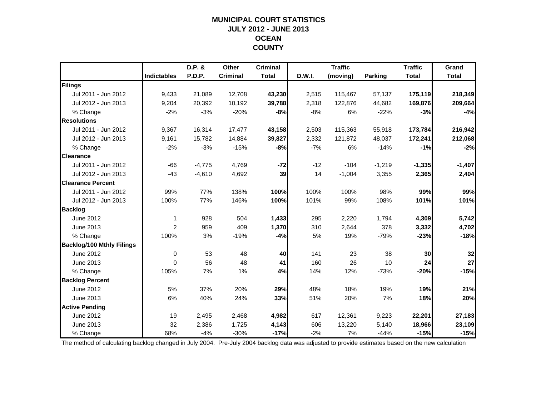### **MUNICIPAL COURT STATISTICSJULY 2012 - JUNE 2013 OCEAN COUNTY**

|                                  |                    | D.P. &   | Other           | <b>Criminal</b> |        | <b>Traffic</b> |          | <b>Traffic</b> | Grand        |
|----------------------------------|--------------------|----------|-----------------|-----------------|--------|----------------|----------|----------------|--------------|
|                                  | <b>Indictables</b> | P.D.P.   | <b>Criminal</b> | <b>Total</b>    | D.W.I. | (moving)       | Parking  | <b>Total</b>   | <b>Total</b> |
| Filings                          |                    |          |                 |                 |        |                |          |                |              |
| Jul 2011 - Jun 2012              | 9,433              | 21,089   | 12,708          | 43,230          | 2,515  | 115,467        | 57,137   | 175,119        | 218,349      |
| Jul 2012 - Jun 2013              | 9,204              | 20,392   | 10,192          | 39,788          | 2,318  | 122,876        | 44,682   | 169,876        | 209,664      |
| % Change                         | $-2%$              | $-3%$    | $-20%$          | $-8%$           | $-8%$  | 6%             | $-22%$   | $-3%$          | $-4%$        |
| <b>Resolutions</b>               |                    |          |                 |                 |        |                |          |                |              |
| Jul 2011 - Jun 2012              | 9,367              | 16,314   | 17,477          | 43,158          | 2,503  | 115,363        | 55,918   | 173,784        | 216,942      |
| Jul 2012 - Jun 2013              | 9,161              | 15,782   | 14,884          | 39,827          | 2,332  | 121,872        | 48,037   | 172,241        | 212,068      |
| % Change                         | $-2%$              | $-3%$    | $-15%$          | -8%             | $-7%$  | 6%             | $-14%$   | $-1%$          | $-2%$        |
| <b>Clearance</b>                 |                    |          |                 |                 |        |                |          |                |              |
| Jul 2011 - Jun 2012              | $-66$              | $-4,775$ | 4,769           | $-72$           | $-12$  | $-104$         | $-1,219$ | $-1,335$       | $-1,407$     |
| Jul 2012 - Jun 2013              | $-43$              | $-4,610$ | 4,692           | 39              | 14     | $-1,004$       | 3,355    | 2,365          | 2,404        |
| <b>Clearance Percent</b>         |                    |          |                 |                 |        |                |          |                |              |
| Jul 2011 - Jun 2012              | 99%                | 77%      | 138%            | 100%            | 100%   | 100%           | 98%      | 99%            | 99%          |
| Jul 2012 - Jun 2013              | 100%               | 77%      | 146%            | 100%            | 101%   | 99%            | 108%     | 101%           | 101%         |
| <b>Backlog</b>                   |                    |          |                 |                 |        |                |          |                |              |
| June 2012                        | 1                  | 928      | 504             | 1,433           | 295    | 2,220          | 1,794    | 4,309          | 5,742        |
| June 2013                        | $\overline{2}$     | 959      | 409             | 1,370           | 310    | 2,644          | 378      | 3,332          | 4,702        |
| % Change                         | 100%               | 3%       | $-19%$          | $-4%$           | 5%     | 19%            | $-79%$   | $-23%$         | $-18%$       |
| <b>Backlog/100 Mthly Filings</b> |                    |          |                 |                 |        |                |          |                |              |
| June 2012                        | $\mathbf 0$        | 53       | 48              | 40              | 141    | 23             | 38       | 30             | 32           |
| June 2013                        | $\Omega$           | 56       | 48              | 41              | 160    | 26             | 10       | 24             | 27           |
| % Change                         | 105%               | 7%       | 1%              | 4%              | 14%    | 12%            | $-73%$   | $-20%$         | $-15%$       |
| <b>Backlog Percent</b>           |                    |          |                 |                 |        |                |          |                |              |
| June 2012                        | 5%                 | 37%      | 20%             | 29%             | 48%    | 18%            | 19%      | 19%            | 21%          |
| June 2013                        | 6%                 | 40%      | 24%             | 33%             | 51%    | 20%            | 7%       | 18%            | 20%          |
| <b>Active Pending</b>            |                    |          |                 |                 |        |                |          |                |              |
| June 2012                        | 19                 | 2,495    | 2,468           | 4,982           | 617    | 12,361         | 9,223    | 22,201         | 27,183       |
| June 2013                        | 32                 | 2,386    | 1,725           | 4,143           | 606    | 13,220         | 5,140    | 18,966         | 23,109       |
| % Change                         | 68%                | $-4%$    | $-30%$          | $-17%$          | $-2%$  | 7%             | $-44%$   | $-15%$         | $-15%$       |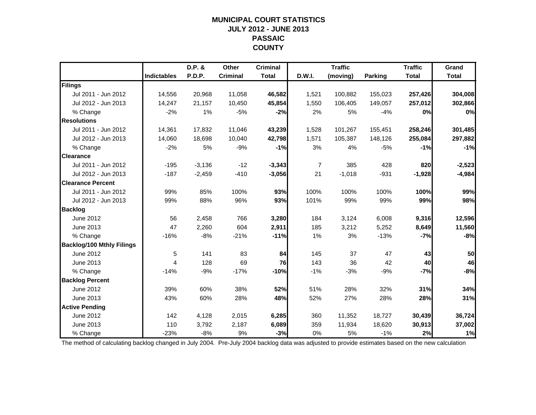### **MUNICIPAL COURT STATISTICSJULY 2012 - JUNE 2013 PASSAIC COUNTY**

|                                  |                    | D.P. &        | Other           | <b>Criminal</b> |        | <b>Traffic</b> |                | <b>Traffic</b> | Grand        |
|----------------------------------|--------------------|---------------|-----------------|-----------------|--------|----------------|----------------|----------------|--------------|
|                                  | <b>Indictables</b> | <b>P.D.P.</b> | <b>Criminal</b> | <b>Total</b>    | D.W.I. | (moving)       | <b>Parking</b> | <b>Total</b>   | <b>Total</b> |
| Filings                          |                    |               |                 |                 |        |                |                |                |              |
| Jul 2011 - Jun 2012              | 14,556             | 20,968        | 11,058          | 46,582          | 1,521  | 100,882        | 155,023        | 257,426        | 304,008      |
| Jul 2012 - Jun 2013              | 14,247             | 21,157        | 10,450          | 45,854          | 1,550  | 106,405        | 149,057        | 257,012        | 302,866      |
| % Change                         | $-2%$              | 1%            | $-5%$           | $-2%$           | 2%     | 5%             | $-4%$          | 0%             | 0%           |
| <b>Resolutions</b>               |                    |               |                 |                 |        |                |                |                |              |
| Jul 2011 - Jun 2012              | 14,361             | 17,832        | 11,046          | 43,239          | 1,528  | 101,267        | 155,451        | 258,246        | 301,485      |
| Jul 2012 - Jun 2013              | 14,060             | 18,698        | 10,040          | 42,798          | 1,571  | 105,387        | 148,126        | 255,084        | 297,882      |
| % Change                         | $-2%$              | 5%            | $-9%$           | $-1%$           | 3%     | 4%             | $-5%$          | $-1%$          | $-1%$        |
| <b>Clearance</b>                 |                    |               |                 |                 |        |                |                |                |              |
| Jul 2011 - Jun 2012              | $-195$             | $-3,136$      | $-12$           | $-3,343$        | 7      | 385            | 428            | 820            | $-2,523$     |
| Jul 2012 - Jun 2013              | $-187$             | $-2,459$      | $-410$          | $-3,056$        | 21     | $-1,018$       | $-931$         | $-1,928$       | $-4,984$     |
| <b>Clearance Percent</b>         |                    |               |                 |                 |        |                |                |                |              |
| Jul 2011 - Jun 2012              | 99%                | 85%           | 100%            | 93%             | 100%   | 100%           | 100%           | 100%           | 99%          |
| Jul 2012 - Jun 2013              | 99%                | 88%           | 96%             | 93%             | 101%   | 99%            | 99%            | 99%            | 98%          |
| <b>Backlog</b>                   |                    |               |                 |                 |        |                |                |                |              |
| June 2012                        | 56                 | 2,458         | 766             | 3,280           | 184    | 3,124          | 6,008          | 9,316          | 12,596       |
| June 2013                        | 47                 | 2,260         | 604             | 2,911           | 185    | 3,212          | 5,252          | 8,649          | 11,560       |
| % Change                         | $-16%$             | $-8%$         | $-21%$          | $-11%$          | 1%     | 3%             | $-13%$         | $-7%$          | $-8%$        |
| <b>Backlog/100 Mthly Filings</b> |                    |               |                 |                 |        |                |                |                |              |
| June 2012                        | 5                  | 141           | 83              | 84              | 145    | 37             | 47             | 43             | 50           |
| June 2013                        | 4                  | 128           | 69              | 76              | 143    | 36             | 42             | 40             | 46           |
| % Change                         | $-14%$             | $-9%$         | $-17%$          | $-10%$          | $-1%$  | $-3%$          | $-9%$          | $-7%$          | $-8%$        |
| <b>Backlog Percent</b>           |                    |               |                 |                 |        |                |                |                |              |
| June 2012                        | 39%                | 60%           | 38%             | 52%             | 51%    | 28%            | 32%            | 31%            | 34%          |
| June 2013                        | 43%                | 60%           | 28%             | 48%             | 52%    | 27%            | 28%            | 28%            | 31%          |
| <b>Active Pending</b>            |                    |               |                 |                 |        |                |                |                |              |
| June 2012                        | 142                | 4,128         | 2,015           | 6,285           | 360    | 11,352         | 18,727         | 30,439         | 36,724       |
| June 2013                        | 110                | 3,792         | 2,187           | 6,089           | 359    | 11,934         | 18,620         | 30,913         | 37,002       |
| % Change                         | $-23%$             | $-8%$         | 9%              | $-3%$           | 0%     | 5%             | $-1%$          | 2%             | 1%           |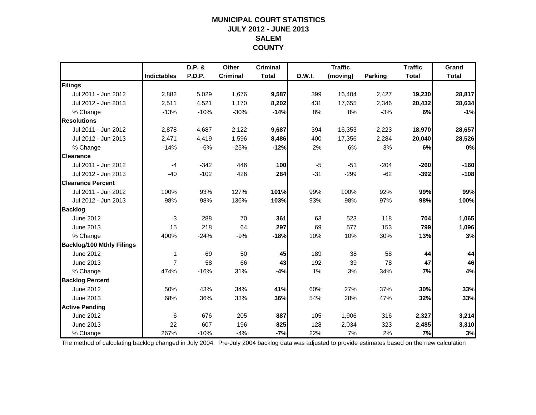### **MUNICIPAL COURT STATISTICSJULY 2012 - JUNE 2013 SALEMCOUNTY**

|                                  |                    | D.P. &        | Other           | <b>Criminal</b> |        | <b>Traffic</b> |         | <b>Traffic</b> | Grand        |
|----------------------------------|--------------------|---------------|-----------------|-----------------|--------|----------------|---------|----------------|--------------|
|                                  | <b>Indictables</b> | <b>P.D.P.</b> | <b>Criminal</b> | <b>Total</b>    | D.W.I. | (moving)       | Parking | <b>Total</b>   | <b>Total</b> |
| Filings                          |                    |               |                 |                 |        |                |         |                |              |
| Jul 2011 - Jun 2012              | 2,882              | 5,029         | 1,676           | 9,587           | 399    | 16,404         | 2,427   | 19,230         | 28,817       |
| Jul 2012 - Jun 2013              | 2,511              | 4,521         | 1,170           | 8,202           | 431    | 17,655         | 2,346   | 20,432         | 28,634       |
| % Change                         | $-13%$             | $-10%$        | $-30%$          | $-14%$          | 8%     | 8%             | $-3%$   | 6%             | $-1%$        |
| <b>Resolutions</b>               |                    |               |                 |                 |        |                |         |                |              |
| Jul 2011 - Jun 2012              | 2,878              | 4,687         | 2,122           | 9,687           | 394    | 16,353         | 2,223   | 18,970         | 28,657       |
| Jul 2012 - Jun 2013              | 2,471              | 4,419         | 1,596           | 8,486           | 400    | 17,356         | 2,284   | 20,040         | 28,526       |
| % Change                         | $-14%$             | $-6%$         | $-25%$          | $-12%$          | 2%     | 6%             | 3%      | 6%             | 0%           |
| <b>Clearance</b>                 |                    |               |                 |                 |        |                |         |                |              |
| Jul 2011 - Jun 2012              | $-4$               | $-342$        | 446             | 100             | $-5$   | $-51$          | $-204$  | $-260$         | $-160$       |
| Jul 2012 - Jun 2013              | $-40$              | $-102$        | 426             | 284             | $-31$  | $-299$         | $-62$   | $-392$         | $-108$       |
| <b>Clearance Percent</b>         |                    |               |                 |                 |        |                |         |                |              |
| Jul 2011 - Jun 2012              | 100%               | 93%           | 127%            | 101%            | 99%    | 100%           | 92%     | 99%            | 99%          |
| Jul 2012 - Jun 2013              | 98%                | 98%           | 136%            | 103%            | 93%    | 98%            | 97%     | 98%            | 100%         |
| <b>Backlog</b>                   |                    |               |                 |                 |        |                |         |                |              |
| June 2012                        | 3                  | 288           | 70              | 361             | 63     | 523            | 118     | 704            | 1,065        |
| June 2013                        | 15                 | 218           | 64              | 297             | 69     | 577            | 153     | 799            | 1,096        |
| % Change                         | 400%               | $-24%$        | $-9%$           | $-18%$          | 10%    | 10%            | 30%     | 13%            | 3%           |
| <b>Backlog/100 Mthly Filings</b> |                    |               |                 |                 |        |                |         |                |              |
| June 2012                        | 1                  | 69            | 50              | 45              | 189    | 38             | 58      | 44             | 44           |
| June 2013                        | $\overline{7}$     | 58            | 66              | 43              | 192    | 39             | 78      | 47             | 46           |
| % Change                         | 474%               | $-16%$        | 31%             | $-4%$           | 1%     | 3%             | 34%     | 7%             | 4%           |
| <b>Backlog Percent</b>           |                    |               |                 |                 |        |                |         |                |              |
| June 2012                        | 50%                | 43%           | 34%             | 41%             | 60%    | 27%            | 37%     | 30%            | 33%          |
| June 2013                        | 68%                | 36%           | 33%             | 36%             | 54%    | 28%            | 47%     | 32%            | 33%          |
| <b>Active Pending</b>            |                    |               |                 |                 |        |                |         |                |              |
| June 2012                        | 6                  | 676           | 205             | 887             | 105    | 1,906          | 316     | 2,327          | 3,214        |
| June 2013                        | 22                 | 607           | 196             | 825             | 128    | 2,034          | 323     | 2,485          | 3,310        |
| % Change                         | 267%               | $-10%$        | $-4%$           | $-7%$           | 22%    | 7%             | 2%      | 7%             | 3%           |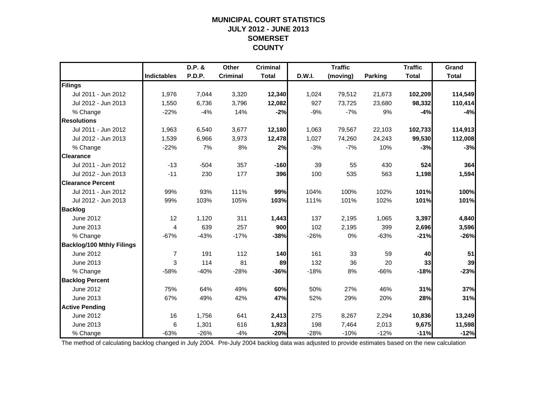### **MUNICIPAL COURT STATISTICSJULY 2012 - JUNE 2013 SOMERSET COUNTY**

|                                  |                    | D.P. &        | Other           | <b>Criminal</b> |        | <b>Traffic</b> |         | <b>Traffic</b> | Grand        |
|----------------------------------|--------------------|---------------|-----------------|-----------------|--------|----------------|---------|----------------|--------------|
|                                  | <b>Indictables</b> | <b>P.D.P.</b> | <b>Criminal</b> | <b>Total</b>    | D.W.I. | (moving)       | Parking | <b>Total</b>   | <b>Total</b> |
| Filings                          |                    |               |                 |                 |        |                |         |                |              |
| Jul 2011 - Jun 2012              | 1,976              | 7,044         | 3,320           | 12,340          | 1,024  | 79,512         | 21,673  | 102,209        | 114,549      |
| Jul 2012 - Jun 2013              | 1,550              | 6,736         | 3,796           | 12,082          | 927    | 73,725         | 23,680  | 98,332         | 110,414      |
| % Change                         | $-22%$             | $-4%$         | 14%             | $-2%$           | $-9%$  | $-7%$          | 9%      | $-4%$          | $-4%$        |
| <b>Resolutions</b>               |                    |               |                 |                 |        |                |         |                |              |
| Jul 2011 - Jun 2012              | 1,963              | 6,540         | 3,677           | 12,180          | 1,063  | 79,567         | 22,103  | 102,733        | 114,913      |
| Jul 2012 - Jun 2013              | 1,539              | 6,966         | 3,973           | 12,478          | 1,027  | 74,260         | 24,243  | 99,530         | 112,008      |
| % Change                         | $-22%$             | 7%            | 8%              | 2%              | $-3%$  | $-7%$          | 10%     | $-3%$          | $-3%$        |
| <b>Clearance</b>                 |                    |               |                 |                 |        |                |         |                |              |
| Jul 2011 - Jun 2012              | $-13$              | $-504$        | 357             | $-160$          | 39     | 55             | 430     | 524            | 364          |
| Jul 2012 - Jun 2013              | $-11$              | 230           | 177             | 396             | 100    | 535            | 563     | 1,198          | 1,594        |
| <b>Clearance Percent</b>         |                    |               |                 |                 |        |                |         |                |              |
| Jul 2011 - Jun 2012              | 99%                | 93%           | 111%            | 99%             | 104%   | 100%           | 102%    | 101%           | 100%         |
| Jul 2012 - Jun 2013              | 99%                | 103%          | 105%            | 103%            | 111%   | 101%           | 102%    | 101%           | 101%         |
| <b>Backlog</b>                   |                    |               |                 |                 |        |                |         |                |              |
| <b>June 2012</b>                 | 12                 | 1,120         | 311             | 1,443           | 137    | 2,195          | 1,065   | 3,397          | 4,840        |
| June 2013                        | 4                  | 639           | 257             | 900             | 102    | 2,195          | 399     | 2,696          | 3,596        |
| % Change                         | $-67%$             | $-43%$        | $-17%$          | $-38%$          | $-26%$ | 0%             | $-63%$  | $-21%$         | $-26%$       |
| <b>Backlog/100 Mthly Filings</b> |                    |               |                 |                 |        |                |         |                |              |
| June 2012                        | 7                  | 191           | 112             | 140             | 161    | 33             | 59      | 40             | 51           |
| June 2013                        | 3                  | 114           | 81              | 89              | 132    | 36             | 20      | 33             | 39           |
| % Change                         | $-58%$             | $-40%$        | $-28%$          | $-36%$          | $-18%$ | 8%             | $-66%$  | $-18%$         | $-23%$       |
| <b>Backlog Percent</b>           |                    |               |                 |                 |        |                |         |                |              |
| June 2012                        | 75%                | 64%           | 49%             | 60%             | 50%    | 27%            | 46%     | 31%            | 37%          |
| June 2013                        | 67%                | 49%           | 42%             | 47%             | 52%    | 29%            | 20%     | 28%            | 31%          |
| <b>Active Pending</b>            |                    |               |                 |                 |        |                |         |                |              |
| June 2012                        | 16                 | 1,756         | 641             | 2,413           | 275    | 8,267          | 2,294   | 10,836         | 13,249       |
| June 2013                        | 6                  | 1,301         | 616             | 1,923           | 198    | 7,464          | 2,013   | 9,675          | 11,598       |
| % Change                         | $-63%$             | $-26%$        | $-4%$           | $-20%$          | $-28%$ | $-10%$         | $-12%$  | $-11%$         | $-12%$       |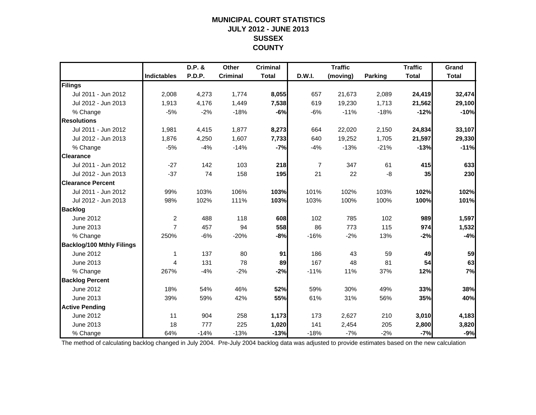### **MUNICIPAL COURT STATISTICSJULY 2012 - JUNE 2013 SUSSEX COUNTY**

|                                  |                    | D.P. & | Other           | <b>Criminal</b> |                | <b>Traffic</b> |         | <b>Traffic</b> | Grand        |
|----------------------------------|--------------------|--------|-----------------|-----------------|----------------|----------------|---------|----------------|--------------|
|                                  | <b>Indictables</b> | P.D.P. | <b>Criminal</b> | <b>Total</b>    | D.W.I.         | (moving)       | Parking | <b>Total</b>   | <b>Total</b> |
| Filings                          |                    |        |                 |                 |                |                |         |                |              |
| Jul 2011 - Jun 2012              | 2,008              | 4,273  | 1,774           | 8,055           | 657            | 21,673         | 2,089   | 24,419         | 32,474       |
| Jul 2012 - Jun 2013              | 1,913              | 4,176  | 1,449           | 7,538           | 619            | 19,230         | 1,713   | 21,562         | 29,100       |
| % Change                         | $-5%$              | $-2%$  | $-18%$          | $-6%$           | $-6%$          | $-11%$         | $-18%$  | $-12%$         | $-10%$       |
| <b>Resolutions</b>               |                    |        |                 |                 |                |                |         |                |              |
| Jul 2011 - Jun 2012              | 1,981              | 4,415  | 1,877           | 8,273           | 664            | 22,020         | 2,150   | 24,834         | 33,107       |
| Jul 2012 - Jun 2013              | 1,876              | 4,250  | 1,607           | 7,733           | 640            | 19,252         | 1,705   | 21,597         | 29,330       |
| % Change                         | $-5%$              | $-4%$  | $-14%$          | $-7%$           | $-4%$          | $-13%$         | $-21%$  | $-13%$         | $-11%$       |
| <b>Clearance</b>                 |                    |        |                 |                 |                |                |         |                |              |
| Jul 2011 - Jun 2012              | $-27$              | 142    | 103             | 218             | $\overline{7}$ | 347            | 61      | 415            | 633          |
| Jul 2012 - Jun 2013              | $-37$              | 74     | 158             | 195             | 21             | 22             | -8      | 35             | 230          |
| <b>Clearance Percent</b>         |                    |        |                 |                 |                |                |         |                |              |
| Jul 2011 - Jun 2012              | 99%                | 103%   | 106%            | 103%            | 101%           | 102%           | 103%    | 102%           | 102%         |
| Jul 2012 - Jun 2013              | 98%                | 102%   | 111%            | 103%            | 103%           | 100%           | 100%    | 100%           | 101%         |
| <b>Backlog</b>                   |                    |        |                 |                 |                |                |         |                |              |
| June 2012                        | $\overline{2}$     | 488    | 118             | 608             | 102            | 785            | 102     | 989            | 1,597        |
| June 2013                        | $\overline{7}$     | 457    | 94              | 558             | 86             | 773            | 115     | 974            | 1,532        |
| % Change                         | 250%               | $-6%$  | $-20%$          | -8%             | $-16%$         | $-2%$          | 13%     | $-2%$          | $-4%$        |
| <b>Backlog/100 Mthly Filings</b> |                    |        |                 |                 |                |                |         |                |              |
| June 2012                        | 1                  | 137    | 80              | 91              | 186            | 43             | 59      | 49             | 59           |
| June 2013                        | $\overline{4}$     | 131    | 78              | 89              | 167            | 48             | 81      | 54             | 63           |
| % Change                         | 267%               | $-4%$  | $-2%$           | $-2%$           | $-11%$         | 11%            | 37%     | 12%            | 7%           |
| <b>Backlog Percent</b>           |                    |        |                 |                 |                |                |         |                |              |
| June 2012                        | 18%                | 54%    | 46%             | 52%             | 59%            | 30%            | 49%     | 33%            | 38%          |
| June 2013                        | 39%                | 59%    | 42%             | 55%             | 61%            | 31%            | 56%     | 35%            | 40%          |
| <b>Active Pending</b>            |                    |        |                 |                 |                |                |         |                |              |
| June 2012                        | 11                 | 904    | 258             | 1,173           | 173            | 2,627          | 210     | 3,010          | 4,183        |
| June 2013                        | 18                 | 777    | 225             | 1,020           | 141            | 2,454          | 205     | 2,800          | 3,820        |
| % Change                         | 64%                | $-14%$ | $-13%$          | $-13%$          | $-18%$         | $-7%$          | $-2%$   | $-7%$          | $-9%$        |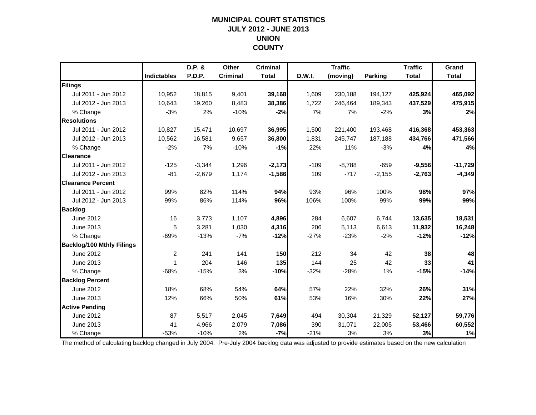### **MUNICIPAL COURT STATISTICSJULY 2012 - JUNE 2013 UNION COUNTY**

|                                  |                    | D.P. &   | Other           | <b>Criminal</b> |        | <b>Traffic</b> |                | <b>Traffic</b> | Grand        |
|----------------------------------|--------------------|----------|-----------------|-----------------|--------|----------------|----------------|----------------|--------------|
|                                  | <b>Indictables</b> | P.D.P.   | <b>Criminal</b> | <b>Total</b>    | D.W.I. | (moving)       | <b>Parking</b> | <b>Total</b>   | <b>Total</b> |
| Filings                          |                    |          |                 |                 |        |                |                |                |              |
| Jul 2011 - Jun 2012              | 10,952             | 18,815   | 9,401           | 39,168          | 1,609  | 230,188        | 194,127        | 425,924        | 465,092      |
| Jul 2012 - Jun 2013              | 10,643             | 19,260   | 8,483           | 38,386          | 1,722  | 246,464        | 189,343        | 437,529        | 475,915      |
| % Change                         | $-3%$              | 2%       | $-10%$          | $-2%$           | 7%     | 7%             | $-2%$          | 3%             | 2%           |
| <b>Resolutions</b>               |                    |          |                 |                 |        |                |                |                |              |
| Jul 2011 - Jun 2012              | 10.827             | 15,471   | 10,697          | 36,995          | 1,500  | 221,400        | 193,468        | 416,368        | 453,363      |
| Jul 2012 - Jun 2013              | 10,562             | 16,581   | 9,657           | 36,800          | 1,831  | 245,747        | 187,188        | 434,766        | 471,566      |
| % Change                         | $-2%$              | 7%       | $-10%$          | $-1%$           | 22%    | 11%            | $-3%$          | 4%             | 4%           |
| <b>Clearance</b>                 |                    |          |                 |                 |        |                |                |                |              |
| Jul 2011 - Jun 2012              | $-125$             | $-3,344$ | 1,296           | $-2,173$        | $-109$ | $-8,788$       | $-659$         | $-9,556$       | $-11,729$    |
| Jul 2012 - Jun 2013              | $-81$              | $-2,679$ | 1,174           | $-1,586$        | 109    | $-717$         | $-2,155$       | $-2,763$       | $-4,349$     |
| <b>Clearance Percent</b>         |                    |          |                 |                 |        |                |                |                |              |
| Jul 2011 - Jun 2012              | 99%                | 82%      | 114%            | 94%             | 93%    | 96%            | 100%           | 98%            | 97%          |
| Jul 2012 - Jun 2013              | 99%                | 86%      | 114%            | 96%             | 106%   | 100%           | 99%            | 99%            | 99%          |
| <b>Backlog</b>                   |                    |          |                 |                 |        |                |                |                |              |
| June 2012                        | 16                 | 3,773    | 1,107           | 4,896           | 284    | 6,607          | 6,744          | 13,635         | 18,531       |
| June 2013                        | 5                  | 3,281    | 1,030           | 4,316           | 206    | 5,113          | 6,613          | 11,932         | 16,248       |
| % Change                         | $-69%$             | $-13%$   | $-7%$           | $-12%$          | $-27%$ | $-23%$         | $-2%$          | $-12%$         | $-12%$       |
| <b>Backlog/100 Mthly Filings</b> |                    |          |                 |                 |        |                |                |                |              |
| June 2012                        | $\overline{c}$     | 241      | 141             | 150             | 212    | 34             | 42             | 38             | 48           |
| <b>June 2013</b>                 | 1                  | 204      | 146             | 135             | 144    | 25             | 42             | 33             | 41           |
| % Change                         | $-68%$             | $-15%$   | 3%              | $-10%$          | $-32%$ | $-28%$         | 1%             | $-15%$         | $-14%$       |
| <b>Backlog Percent</b>           |                    |          |                 |                 |        |                |                |                |              |
| June 2012                        | 18%                | 68%      | 54%             | 64%             | 57%    | 22%            | 32%            | 26%            | 31%          |
| June 2013                        | 12%                | 66%      | 50%             | 61%             | 53%    | 16%            | 30%            | 22%            | 27%          |
| <b>Active Pending</b>            |                    |          |                 |                 |        |                |                |                |              |
| June 2012                        | 87                 | 5,517    | 2,045           | 7,649           | 494    | 30,304         | 21,329         | 52,127         | 59,776       |
| June 2013                        | 41                 | 4,966    | 2,079           | 7,086           | 390    | 31,071         | 22,005         | 53,466         | 60,552       |
| % Change                         | $-53%$             | $-10%$   | 2%              | $-7%$           | $-21%$ | 3%             | 3%             | 3%             | 1%           |